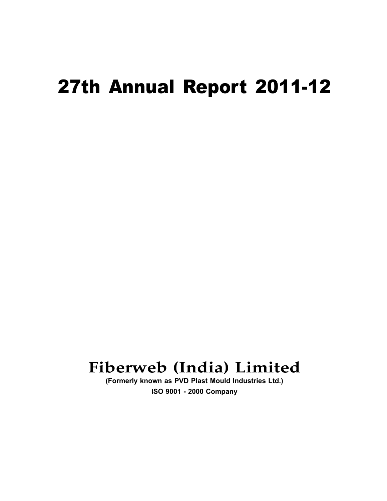# 27th Annual Report 2011-12

# **Fiberweb (India) Limited**

**(Formerly known as PVD Plast Mould Industries Ltd.) ISO 9001 - 2000 Company**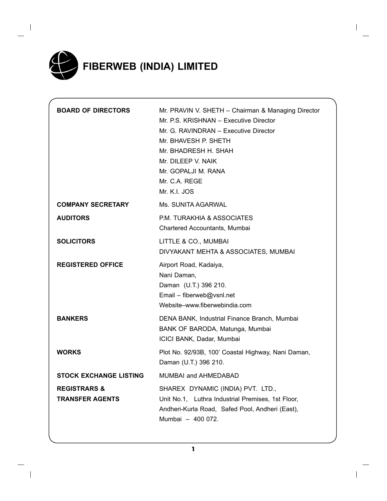

 $\overline{\phantom{a}}$ 

| <b>BOARD OF DIRECTORS</b>                         | Mr. PRAVIN V. SHETH - Chairman & Managing Director<br>Mr. P.S. KRISHNAN - Executive Director<br>Mr. G. RAVINDRAN - Executive Director<br>Mr. BHAVESH P. SHETH<br>Mr. BHADRESH H. SHAH<br>Mr. DILEEP V. NAIK<br>Mr. GOPALJI M. RANA<br>Mr. C.A. REGE<br>Mr. K.I. JOS |
|---------------------------------------------------|---------------------------------------------------------------------------------------------------------------------------------------------------------------------------------------------------------------------------------------------------------------------|
| <b>COMPANY SECRETARY</b>                          | Ms. SUNITA AGARWAL                                                                                                                                                                                                                                                  |
| <b>AUDITORS</b>                                   | P.M. TURAKHIA & ASSOCIATES<br>Chartered Accountants, Mumbai                                                                                                                                                                                                         |
| <b>SOLICITORS</b>                                 | LITTLE & CO., MUMBAI<br>DIVYAKANT MEHTA & ASSOCIATES, MUMBAI                                                                                                                                                                                                        |
| <b>REGISTERED OFFICE</b>                          | Airport Road, Kadaiya,<br>Nani Daman,<br>Daman (U.T.) 396 210.<br>Email - fiberweb@vsnl.net<br>Website-www.fiberwebindia.com                                                                                                                                        |
| <b>BANKERS</b>                                    | DENA BANK, Industrial Finance Branch, Mumbai<br>BANK OF BARODA, Matunga, Mumbai<br>ICICI BANK, Dadar, Mumbai                                                                                                                                                        |
| <b>WORKS</b>                                      | Plot No. 92/93B, 100' Coastal Highway, Nani Daman,<br>Daman (U.T.) 396 210.                                                                                                                                                                                         |
| <b>STOCK EXCHANGE LISTING</b>                     | MUMBAI and AHMEDABAD                                                                                                                                                                                                                                                |
| <b>REGISTRARS &amp;</b><br><b>TRANSFER AGENTS</b> | SHAREX DYNAMIC (INDIA) PVT. LTD.,<br>Unit No.1, Luthra Industrial Premises, 1st Floor,<br>Andheri-Kurla Road, Safed Pool, Andheri (East),<br>Mumbai - 400 072.                                                                                                      |

**1**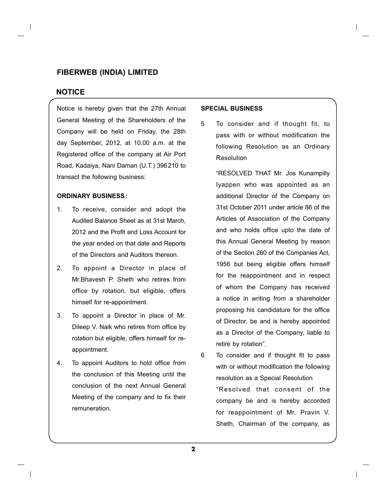#### **Notice**

Notice is hereby given that the 27th Annual General Meeting of the Shareholders of the Company will be held on Friday, the 28th day September, 2012, at 10.00 a.m. at the Registered office of the company at Air Port Road, Kadaiya, Nani Daman (U.T.) 396210 to transact the following business:

#### **ORDINARY BUSINESS:**

- 1. To receive, consider and adopt the Audited Balance Sheet as at 31st March, 2012 and the Profit and Loss Account for the year ended on that date and Reports of the Directors and Auditors thereon.
- 2. To appoint a Director in place of Mr.Bhavesh P. Sheth who retires from office by rotation, but eligible, offers himself for re-appointment.
- 3. To appoint a Director in place of Mr. Dileep V. Naik who retires from office by rotation but eligible, offers himself for reappointment.
- 4. To appoint Auditors to hold office from the conclusion of this Meeting until the conclusion of the next Annual General Meeting of the company and to fix their remuneration.

#### **SPECIAL BUSINESS**

5 To consider and if thought fit, to pass with or without modification the following Resolution as an Ordinary Resolution

> "RESOLVED THAT Mr. Jos Kunampilly Iyappen who was appointed as an additional Director of the Company on 31st October 2011 under article 86 of the Articles of Association of the Company and who holds office upto the date of this Annual General Meeting by reason of the Section 260 of the Companies Act, 1956 but being eligible offers himself for the reappointment and in respect of whom the Company has received a notice in writing from a shareholder proposing his candidature for the office of Director, be and is hereby appointed as a Director of the Company, liable to retire by rotation".

6 To consider and if thought fit to pass with or without modification the following resolution as a Special Resolution "Resolved that consent of the company be and is hereby accorded for reappointment of Mr. Pravin V. Sheth, Chairman of the company, as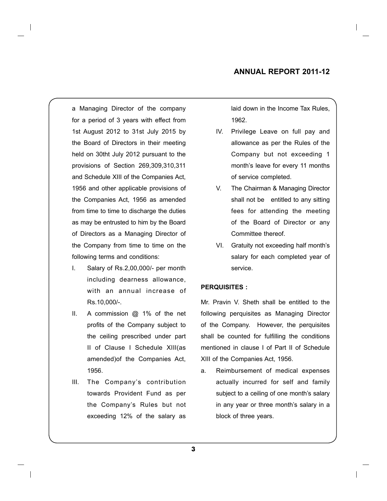a Managing Director of the company for a period of 3 years with effect from 1st August 2012 to 31st July 2015 by the Board of Directors in their meeting held on 30tht July 2012 pursuant to the provisions of Section 269,309,310,311 and Schedule XIII of the Companies Act, 1956 and other applicable provisions of the Companies Act, 1956 as amended from time to time to discharge the duties as may be entrusted to him by the Board of Directors as a Managing Director of the Company from time to time on the following terms and conditions:

- I. Salary of Rs.2,00,000/- per month including dearness allowance, with an annual increase of Rs.10,000/-.
- II. A commission  $@$  1% of the net profits of the Company subject to the ceiling prescribed under part II of Clause I Schedule XIII(as amended)of the Companies Act, 1956.
- III. The Company's contribution towards Provident Fund as per the Company's Rules but not exceeding 12% of the salary as

laid down in the Income Tax Rules, 1962.

- IV. Privilege Leave on full pay and allowance as per the Rules of the Company but not exceeding 1 month's leave for every 11 months of service completed.
- V. The Chairman & Managing Director shall not be entitled to any sitting fees for attending the meeting of the Board of Director or any Committee thereof.
- VI. Gratuity not exceeding half month's salary for each completed year of service.

#### **PERQUISITES :**

Mr. Pravin V. Sheth shall be entitled to the following perquisites as Managing Director of the Company. However, the perquisites shall be counted for fulfilling the conditions mentioned in clause I of Part II of Schedule XIII of the Companies Act, 1956.

a. Reimbursement of medical expenses actually incurred for self and family subject to a ceiling of one month's salary in any year or three month's salary in a block of three years.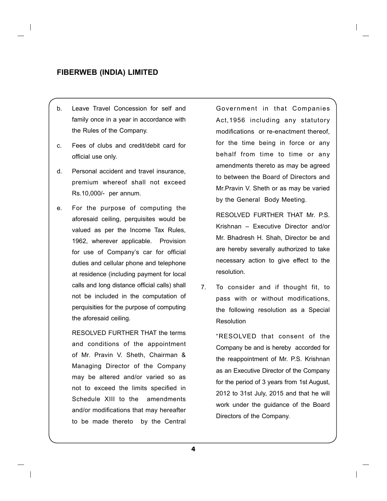- b. Leave Travel Concession for self and family once in a year in accordance with the Rules of the Company.
- c. Fees of clubs and credit/debit card for official use only.
- d. Personal accident and travel insurance, premium whereof shall not exceed Rs.10,000/- per annum.
- e. For the purpose of computing the aforesaid ceiling, perquisites would be valued as per the Income Tax Rules, 1962, wherever applicable. Provision for use of Company's car for official duties and cellular phone and telephone at residence (including payment for local calls and long distance official calls) shall not be included in the computation of perquisities for the purpose of computing the aforesaid ceiling.

RESOLVED FURTHER THAT the terms and conditions of the appointment of Mr. Pravin V. Sheth, Chairman & Managing Director of the Company may be altered and/or varied so as not to exceed the limits specified in Schedule XIII to the amendments and/or modifications that may hereafter to be made thereto by the Central Government in that Companies Act,1956 including any statutory modifications or re-enactment thereof, for the time being in force or any behalf from time to time or any amendments thereto as may be agreed to between the Board of Directors and Mr.Pravin V. Sheth or as may be varied by the General Body Meeting.

RESOLVED FURTHER THAT Mr. P.S. Krishnan – Executive Director and/or Mr. Bhadresh H. Shah, Director be and are hereby severally authorized to take necessary action to give effect to the resolution.

7. To consider and if thought fit, to pass with or without modifications, the following resolution as a Special Resolution

> "RESOLVED that consent of the Company be and is hereby accorded for the reappointment of Mr. P.S. Krishnan as an Executive Director of the Company for the period of 3 years from 1st August, 2012 to 31st July, 2015 and that he will work under the guidance of the Board Directors of the Company.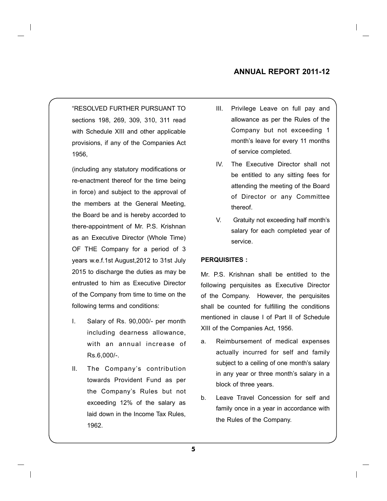#### **Annual Report 2011-12**

"RESOLVED FURTHER PURSUANT TO sections 198, 269, 309, 310, 311 read with Schedule XIII and other applicable provisions, if any of the Companies Act 1956,

 (including any statutory modifications or re-enactment thereof for the time being in force) and subject to the approval of the members at the General Meeting, the Board be and is hereby accorded to there-appointment of Mr. P.S. Krishnan as an Executive Director (Whole Time) OF THE Company for a period of 3 years w.e.f.1st August,2012 to 31st July 2015 to discharge the duties as may be entrusted to him as Executive Director of the Company from time to time on the following terms and conditions:

- I. Salary of Rs. 90,000/- per month including dearness allowance, with an annual increase of Rs.6,000/-.
- II. The Company's contribution towards Provident Fund as per the Company's Rules but not exceeding 12% of the salary as laid down in the Income Tax Rules, 1962.
- III. Privilege Leave on full pay and allowance as per the Rules of the Company but not exceeding 1 month's leave for every 11 months of service completed.
- IV. The Executive Director shall not be entitled to any sitting fees for attending the meeting of the Board of Director or any Committee thereof.
- V. Gratuity not exceeding half month's salary for each completed year of service.

#### **PERQUISITES :**

Mr. P.S. Krishnan shall be entitled to the following perquisites as Executive Director of the Company. However, the perquisites shall be counted for fulfilling the conditions mentioned in clause I of Part II of Schedule XIII of the Companies Act, 1956.

- a. Reimbursement of medical expenses actually incurred for self and family subject to a ceiling of one month's salary in any year or three month's salary in a block of three years.
- b. Leave Travel Concession for self and family once in a year in accordance with the Rules of the Company.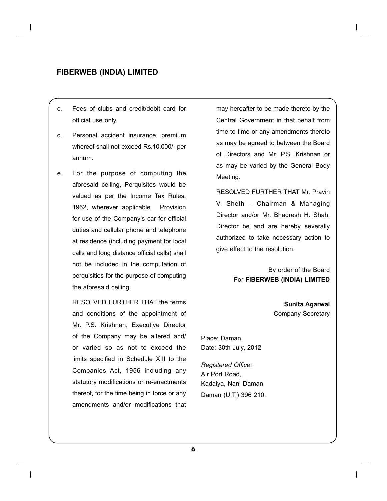- c. Fees of clubs and credit/debit card for official use only.
- d. Personal accident insurance, premium whereof shall not exceed Rs.10,000/- per annum.
- e. For the purpose of computing the aforesaid ceiling, Perquisites would be valued as per the Income Tax Rules, 1962, wherever applicable. Provision for use of the Company's car for official duties and cellular phone and telephone at residence (including payment for local calls and long distance official calls) shall not be included in the computation of perquisities for the purpose of computing the aforesaid ceiling.

RESOLVED FURTHER THAT the terms and conditions of the appointment of Mr. P.S. Krishnan, Executive Director of the Company may be altered and/ or varied so as not to exceed the limits specified in Schedule XIII to the Companies Act, 1956 including any statutory modifications or re-enactments thereof, for the time being in force or any amendments and/or modifications that may hereafter to be made thereto by the Central Government in that behalf from time to time or any amendments thereto as may be agreed to between the Board of Directors and Mr. P.S. Krishnan or as may be varied by the General Body Meeting.

RESOLVED FURTHER THAT Mr. Pravin V. Sheth – Chairman & Managing Director and/or Mr. Bhadresh H. Shah, Director be and are hereby severally authorized to take necessary action to give effect to the resolution.

> By order of the Board For **FIBERWEB (INDIA) LIMITED**

> > **Sunita Agarwal** Company Secretary

Place: Daman Date: 30th July, 2012

*Registered Office:* Air Port Road, Kadaiya, Nani Daman Daman (U.T.) 396 210.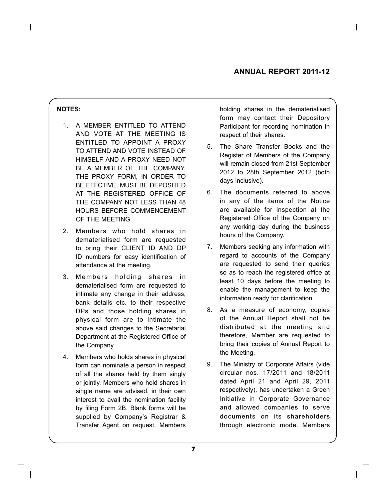#### **NOTES:**

- 1. A MEMBER ENTITLED TO ATTEND AND VOTE AT THE MEETING IS ENTITLED TO APPOINT A PROXY TO ATTEND AND VOTE INSTEAD OF HIMSELF AND A PROXY NEED NOT BE A MEMBER OF THE COMPANY. THE PROXY FORM, IN ORDER TO BE EFFCTIVE, MUST BE DEPOSITED AT THE REGISTERED OFFICE OF THE COMPANY NOT LESS THAN 48 HOURS BEFORE COMMENCEMENT OF THE MEETING.
- 2. Members who hold shares in dematerialised form are requested to bring their CLIENT ID AND DP ID numbers for easy identification of attendance at the meeting.
- 3. Members holding shares in dematerialised form are requested to intimate any change in their address, bank details etc. to their respective DPs and those holding shares in physical form are to intimate the above said changes to the Secretarial Department at the Registered Office of the Company.
- 4. Members who holds shares in physical form can nominate a person in respect of all the shares held by them singly or jointly. Members who hold shares in single name are advised, in their own interest to avail the nomination facility by filing Form 2B. Blank forms will be supplied by Company's Registrar & Transfer Agent on request. Members

holding shares in the dematerialised form may contact their Depository Participant for recording nomination in respect of their shares.

- 5. The Share Transfer Books and the Register of Members of the Company will remain closed from 21st September 2012 to 28th September 2012 (both days inclusive).
- 6. The documents referred to above in any of the items of the Notice are available for inspection at the Registered Office of the Company on any working day during the business hours of the Company.
- 7. Members seeking any information with regard to accounts of the Company are requested to send their queries so as to reach the registered office at least 10 days before the meeting to enable the management to keep the information ready for clarification.
- 8. As a measure of economy, copies of the Annual Report shall not be distributed at the meeting and therefore, Member are requested to bring their copies of Annual Report to the Meeting.
- 9. The Ministry of Corporate Affairs (vide circular nos. 17/2011 and 18/2011 dated April 21 and April 29, 2011 respectively), has undertaken a Green Initiative in Corporate Governance and allowed companies to serve documents on its shareholders through electronic mode. Members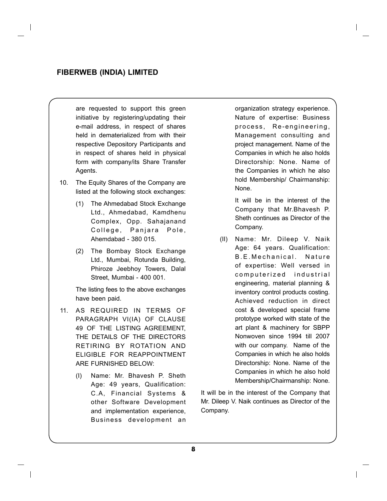are requested to support this green initiative by registering/updating their e-mail address, in respect of shares held in dematerialized from with their respective Depository Participants and in respect of shares held in physical form with company/its Share Transfer Agents.

- 10. The Equity Shares of the Company are listed at the following stock exchanges:
	- (1) The Ahmedabad Stock Exchange Ltd., Ahmedabad, Kamdhenu Complex, Opp. Sahajanand College, Panjara Pole, Ahemdabad - 380 015.
	- (2) The Bombay Stock Exchange Ltd., Mumbai, Rotunda Building, Phiroze Jeebhoy Towers, Dalal Street, Mumbai - 400 001.

 The listing fees to the above exchanges have been paid.

- 11. AS REQUIRED IN TERMS OF PARAGRAPH VI(IA) OF CLAUSE 49 OF THE LISTING AGREEMENT, THE DETAILS OF THE DIRECTORS RETIRING BY ROTATION AND ELIGIBLE FOR REAPPOINTMENT ARE FURNISHED BELOW:
	- (I) Name: Mr. Bhavesh P. Sheth Age: 49 years, Qualification: C.A, Financial Systems & other Software Development and implementation experience, Business development an

organization strategy experience. Nature of expertise: Business process, Re-engineering, Management consulting and project management. Name of the Companies in which he also holds Directorship: None. Name of the Companies in which he also hold Membership/ Chairmanship: None.

 It will be in the interest of the Company that Mr.Bhavesh P. Sheth continues as Director of the Company.

(II) Name: Mr. Dileep V. Naik Age: 64 years. Qualification: B.E. Mechanical. Nature of expertise: Well versed in computerized industrial engineering, material planning & inventory control products costing. Achieved reduction in direct cost & developed special frame prototype worked with state of the art plant & machinery for SBPP Nonwoven since 1994 till 2007 with our company. Name of the Companies in which he also holds Directorship: None. Name of the Companies in which he also hold Membership/Chairmanship: None.

It will be in the interest of the Company that Mr. Dileep V. Naik continues as Director of the Company.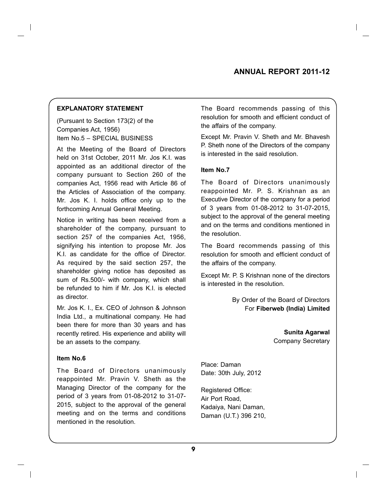#### **Annual Report 2011-12**

#### **EXPLANATORY STATEMENT**

(Pursuant to Section 173(2) of the Companies Act, 1956) Item No.5 – SPECIAL BUSINESS

At the Meeting of the Board of Directors held on 31st October, 2011 Mr. Jos K.I. was appointed as an additional director of the company pursuant to Section 260 of the companies Act, 1956 read with Article 86 of the Articles of Association of the company. Mr. Jos K. I. holds office only up to the forthcoming Annual General Meeting.

Notice in writing has been received from a shareholder of the company, pursuant to section 257 of the companies Act, 1956, signifying his intention to propose Mr. Jos K.I. as candidate for the office of Director. As required by the said section 257, the shareholder giving notice has deposited as sum of Rs.500/- with company, which shall be refunded to him if Mr. Jos K.I. is elected as director.

Mr. Jos K. I., Ex. CEO of Johnson & Johnson India Ltd., a multinational company. He had been there for more than 30 years and has recently retired. His experience and ability will be an assets to the company.

#### **Item No.6**

The Board of Directors unanimously reappointed Mr. Pravin V. Sheth as the Managing Director of the company for the period of 3 years from 01-08-2012 to 31-07- 2015, subject to the approval of the general meeting and on the terms and conditions mentioned in the resolution.

The Board recommends passing of this resolution for smooth and efficient conduct of the affairs of the company.

Except Mr. Pravin V. Sheth and Mr. Bhavesh P. Sheth none of the Directors of the company is interested in the said resolution.

#### **Item No.7**

The Board of Directors unanimously reappointed Mr. P. S. Krishnan as an Executive Director of the company for a period of 3 years from 01-08-2012 to 31-07-2015, subject to the approval of the general meeting and on the terms and conditions mentioned in the resolution.

The Board recommends passing of this resolution for smooth and efficient conduct of the affairs of the company.

Except Mr. P. S Krishnan none of the directors is interested in the resolution.

> By Order of the Board of Directors For **Fiberweb (India) Limited**

> > **Sunita Agarwal** Company Secretary

Place: Daman Date: 30th July, 2012

Registered Office: Air Port Road, Kadaiya, Nani Daman, Daman (U.T.) 396 210,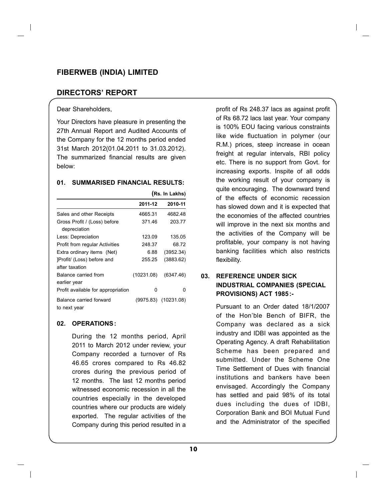#### **DIRECTORS' REPORT**

#### Dear Shareholders,

Your Directors have pleasure in presenting the 27th Annual Report and Audited Accounts of the Company for the 12 months period ended 31st March 2012(01.04.2011 to 31.03.2012). The summarized financial results are given below:

#### **01. SUMMARISED FINANCIAL RESULTS:**

|                                              |            | (Rs. In Lakhs) |
|----------------------------------------------|------------|----------------|
|                                              | 2011-12    | 2010-11        |
| Sales and other Receipts                     | 4665.31    | 4682.48        |
| Gross Profit / (Loss) before<br>depreciation | 371.46     | 203.77         |
| Less: Depreciation                           | 123.09     | 135.05         |
| <b>Profit from regular Activities</b>        | 248.37     | 6872           |
| Extra ordinary items (Net)                   | 6.88       | (3952.34)      |
| Profit/ (Loss) before and<br>after taxation  | 255.25     | (3883.62)      |
| Balance carried from<br>earlier year         | (10231.08) | (6347.46)      |
| Profit available for appropriation           | 0          | ŋ              |
| Balance carried forward<br>to next year      | (9975.83)  | (10231.08)     |

#### **02. OPERATIONS:**

During the 12 months period, April 2011 to March 2012 under review, your Company recorded a turnover of Rs 46.65 crores compared to Rs 46.82 crores during the previous period of 12 months. The last 12 months period witnessed economic recession in all the countries especially in the developed countries where our products are widely exported. The regular activities of the Company during this period resulted in a

profit of Rs 248.37 lacs as against profit of Rs 68.72 lacs last year. Your company is 100% EOU facing various constraints like wide fluctuation in polymer (our R.M.) prices, steep increase in ocean freight at regular intervals, RBI policy etc. There is no support from Govt. for increasing exports. Inspite of all odds the working result of your company is quite encouraging. The downward trend of the effects of economic recession has slowed down and it is expected that the economies of the affected countries will improve in the next six months and the activities of the Company will be profitable, your company is not having banking facilities which also restricts flexibility.

### **03. REFERENCE UNDER SICK INDUSTRIAL COMPANIES (SPECIAL PROVISIONS) ACT 1985:-**

 Pursuant to an Order dated 18/1/2007 of the Hon'ble Bench of BIFR, the Company was declared as a sick industry and IDBI was appointed as the Operating Agency. A draft Rehabilitation Scheme has been prepared and submitted. Under the Scheme One Time Settlement of Dues with financial institutions and bankers have been envisaged. Accordingly the Company has settled and paid 98% of its total dues including the dues of IDBI, Corporation Bank and BOI Mutual Fund and the Administrator of the specified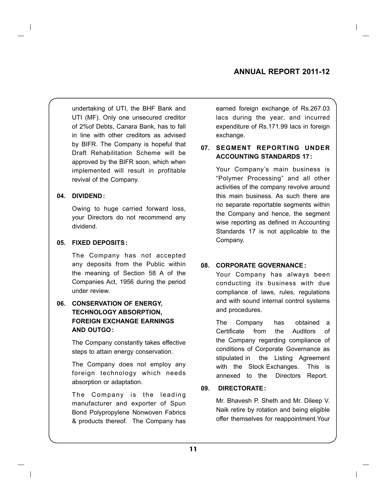undertaking of UTI, the BHF Bank and UTI (MF). Only one unsecured creditor of 2%of Debts, Canara Bank, has to fall in line with other creditors as advised by BIFR. The Company is hopeful that Draft Rehabilitation Scheme will be approved by the BIFR soon, which when implemented will result in profitable revival of the Company.

#### **04. DIVIDEND :**

 Owing to huge carried forward loss, your Directors do not recommend any dividend.

#### **05. FIXED DEPOSITS:**

The Company has not accepted any deposits from the Public within the meaning of Section 58 A of the Companies Act, 1956 during the period under review.

### **06. CONSERVATION OF ENERGY, TECHNOLOGY ABSORPTION, FOREIGN EXCHANGE EARNINGS AND OUTGO :**

The Company constantly takes effective steps to attain energy conservation.

The Company does not employ any foreign technology which needs absorption or adaptation.

The Company is the leading manufacturer and exporter of Spun Bond Polypropylene Nonwoven Fabrics & products thereof. The Company has earned foreign exchange of Rs.267.03 lacs during the year, and incurred expenditure of Rs.171.99 lacs in foreign exchange.

### **07. SEGMENT REPORTING UNDER ACCOUNTING STANDARDS 17:**

Your Company's main business is "Polymer Processing" and all other activities of the company revolve around this main business. As such there are no separate reportable segments within the Company and hence, the segment wise reporting as defined in Accounting Standards 17 is not applicable to the Company.

#### **08. CORPORATE GOVERNANCE :**

 Your Company has always been conducting its business with due compliance of laws, rules, regulations and with sound internal control systems and procedures.

The Company has obtained a Certificate from the Auditors of the Company regarding compliance of conditions of Corporate Governance as stipulated in the Listing Agreement with the Stock Exchanges. This is annexed to the Directors Report.

#### **09. DIRECTORATE :**

Mr. Bhavesh P. Sheth and Mr. Dileep V. Naik retire by rotation and being eligible offer themselves for reappointment.Your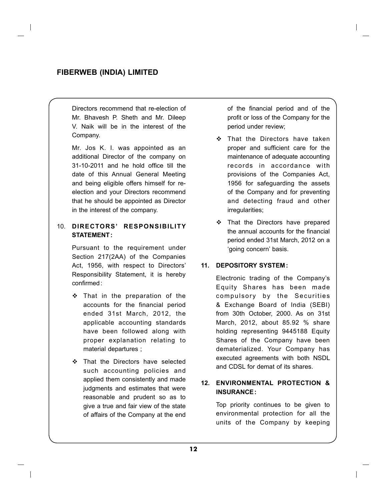Directors recommend that re-election of Mr. Bhavesh P. Sheth and Mr. Dileep V. Naik will be in the interest of the Company.

 Mr. Jos K. I. was appointed as an additional Director of the company on 31-10-2011 and he hold office till the date of this Annual General Meeting and being eligible offers himself for reelection and your Directors recommend that he should be appointed as Director in the interest of the company.

#### 10. **DIRECTORS' RESPONSIBILITY STATEMENT :**

 Pursuant to the requirement under Section 217(2AA) of the Companies Act, 1956, with respect to Directors' Responsibility Statement, it is hereby confirmed:

- That in the preparation of the accounts for the financial period ended 31st March, 2012, the applicable accounting standards have been followed along with proper explanation relating to material departures ;
- That the Directors have selected such accounting policies and applied them consistently and made judgments and estimates that were reasonable and prudent so as to give a true and fair view of the state of affairs of the Company at the end

of the financial period and of the profit or loss of the Company for the period under review;

- That the Directors have taken proper and sufficient care for the maintenance of adequate accounting records in accordance with provisions of the Companies Act, 1956 for safeguarding the assets of the Company and for preventing and detecting fraud and other irregularities;
- $\div$  That the Directors have prepared the annual accounts for the financial period ended 31st March, 2012 on a 'going concern' basis.

#### **11. DEPOSITORY SYSTEM :**

Electronic trading of the Company's Equity Shares has been made compulsory by the Securities & Exchange Board of India (SEBI) from 30th October, 2000. As on 31st March, 2012, about 85.92 % share holding representing 9445188 Equity Shares of the Company have been dematerialized. Your Company has executed agreements with both NSDL and CDSL for demat of its shares.

#### **12. ENVIRONMENTAL PROTECTION & INSURANCE :**

Top priority continues to be given to environmental protection for all the units of the Company by keeping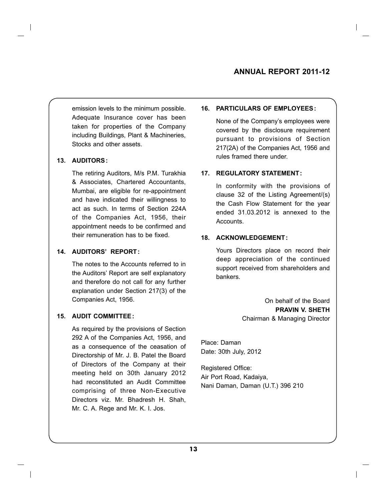emission levels to the minimum possible. Adequate Insurance cover has been taken for properties of the Company including Buildings, Plant & Machineries, Stocks and other assets.

#### **13. AUDITORS:**

The retiring Auditors, M/s P.M. Turakhia & Associates, Chartered Accountants, Mumbai, are eligible for re-appointment and have indicated their willingness to act as such. In terms of Section 224A of the Companies Act, 1956, their appointment needs to be confirmed and their remuneration has to be fixed.

#### **14. AUDITORS' REPORT :**

The notes to the Accounts referred to in the Auditors' Report are self explanatory and therefore do not call for any further explanation under Section 217(3) of the Companies Act, 1956.

#### **15. AUDIT COMMITTEE :**

 As required by the provisions of Section 292 A of the Companies Act, 1956, and as a consequence of the ceasation of Directorship of Mr. J. B. Patel the Board of Directors of the Company at their meeting held on 30th January 2012 had reconstituted an Audit Committee comprising of three Non-Executive Directors viz. Mr. Bhadresh H. Shah, Mr. C. A. Rege and Mr. K. I. Jos.

#### **16. PARTICULARS OF EMPLOYEES:**

None of the Company's employees were covered by the disclosure requirement pursuant to provisions of Section 217(2A) of the Companies Act, 1956 and rules framed there under.

#### **17. REGULATORY STATEMENT :**

 In conformity with the provisions of clause 32 of the Listing Agreement/(s) the Cash Flow Statement for the year ended 31.03.2012 is annexed to the Accounts.

#### **18. ACKNOWLEDGEMENT :**

Yours Directors place on record their deep appreciation of the continued support received from shareholders and bankers.

> On behalf of the Board **PRAVIN V. SHETH** Chairman & Managing Director

Place: Daman Date: 30th July, 2012

Registered Office: Air Port Road, Kadaiya, Nani Daman, Daman (U.T.) 396 210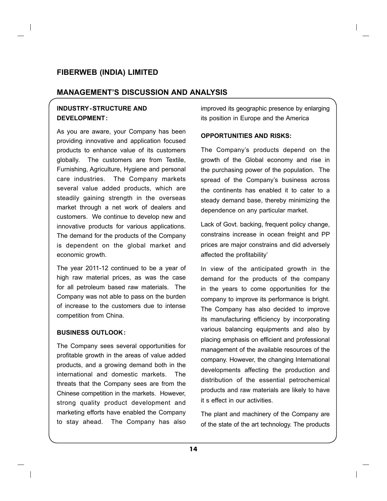#### **MANAGEMENT'S DISCUSSION AND ANALYSIS**

### **INDUSTRY-STRUCTURE AND DEVELOPMENT :**

As you are aware, your Company has been providing innovative and application focused products to enhance value of its customers globally. The customers are from Textile, Furnishing, Agriculture, Hygiene and personal care industries. The Company markets several value added products, which are steadily gaining strength in the overseas market through a net work of dealers and customers. We continue to develop new and innovative products for various applications. The demand for the products of the Company is dependent on the global market and economic growth.

The year 2011-12 continued to be a year of high raw material prices, as was the case for all petroleum based raw materials. The Company was not able to pass on the burden of increase to the customers due to intense competition from China.

#### **BUSINESS OUTLOOK:**

The Company sees several opportunities for profitable growth in the areas of value added products, and a growing demand both in the international and domestic markets. The threats that the Company sees are from the Chinese competition in the markets. However, strong quality product development and marketing efforts have enabled the Company to stay ahead. The Company has also improved its geographic presence by enlarging its position in Europe and the America

#### **OPPORTUNITIES AND RISKS:**

The Company's products depend on the growth of the Global economy and rise in the purchasing power of the population. The spread of the Company's business across the continents has enabled it to cater to a steady demand base, thereby minimizing the dependence on any particular market.

Lack of Govt. backing, frequent policy change, constrains increase in ocean freight and PP prices are major constrains and did adversely affected the profitability'

In view of the anticipated growth in the demand for the products of the company in the years to come opportunities for the company to improve its performance is bright. The Company has also decided to improve its manufacturing efficiency by incorporating various balancing equipments and also by placing emphasis on efficient and professional management of the available resources of the company. However, the changing International developments affecting the production and distribution of the essential petrochemical products and raw materials are likely to have it s effect in our activities.

The plant and machinery of the Company are of the state of the art technology. The products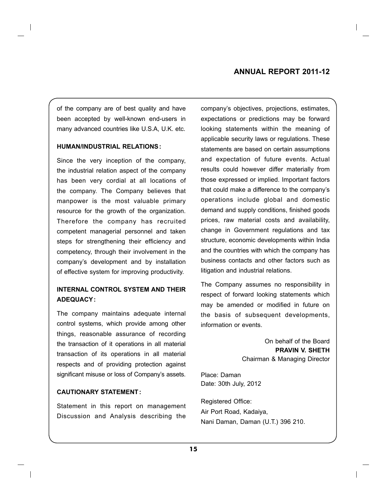of the company are of best quality and have been accepted by well-known end-users in many advanced countries like U.S.A, U.K. etc.

#### **HUMAN/INDUSTRIAL RELATIONS:**

Since the very inception of the company, the industrial relation aspect of the company has been very cordial at all locations of the company. The Company believes that manpower is the most valuable primary resource for the growth of the organization. Therefore the company has recruited competent managerial personnel and taken steps for strengthening their efficiency and competency, through their involvement in the company's development and by installation of effective system for improving productivity.

## **INTERNAL CONTROL SYSTEM AND THEIR ADEQUACY:**

The company maintains adequate internal control systems, which provide among other things, reasonable assurance of recording the transaction of it operations in all material transaction of its operations in all material respects and of providing protection against significant misuse or loss of Company's assets.

#### **CAUTIONARY STATEMENT :**

Statement in this report on management Discussion and Analysis describing the

company's objectives, projections, estimates, expectations or predictions may be forward looking statements within the meaning of applicable security laws or regulations. These statements are based on certain assumptions and expectation of future events. Actual results could however differ materially from those expressed or implied. Important factors that could make a difference to the company's operations include global and domestic demand and supply conditions, finished goods prices, raw material costs and availability, change in Government regulations and tax structure, economic developments within India and the countries with which the company has business contacts and other factors such as litigation and industrial relations.

The Company assumes no responsibility in respect of forward looking statements which may be amended or modified in future on the basis of subsequent developments, information or events.

> On behalf of the Board **PRAVIN V. SHETH** Chairman & Managing Director

Place: Daman Date: 30th July, 2012

Registered Office: Air Port Road, Kadaiya, Nani Daman, Daman (U.T.) 396 210.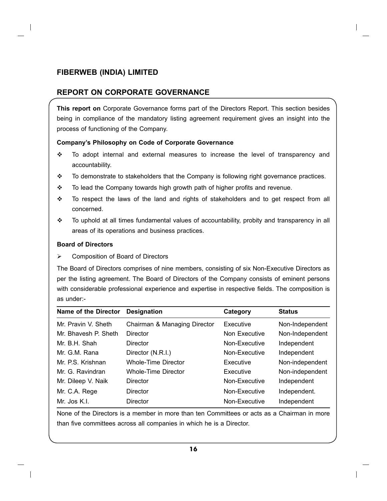## **REPORT ON CORPORATE GOVERNANCE**

**This report on** Corporate Governance forms part of the Directors Report. This section besides being in compliance of the mandatory listing agreement requirement gives an insight into the process of functioning of the Company.

#### **Company's Philosophy on Code of Corporate Governance**

- $\div$  To adopt internal and external measures to increase the level of transparency and accountability.
- \* To demonstrate to stakeholders that the Company is following right governance practices.
- \* To lead the Company towards high growth path of higher profits and revenue.
- $\cdot \cdot$  To respect the laws of the land and rights of stakeholders and to get respect from all concerned.
- $\div$  To uphold at all times fundamental values of accountability, probity and transparency in all areas of its operations and business practices.

#### **Board of Directors**

**►** Composition of Board of Directors

The Board of Directors comprises of nine members, consisting of six Non-Executive Directors as per the listing agreement. The Board of Directors of the Company consists of eminent persons with considerable professional experience and expertise in respective fields. The composition is as under:-

| Name of the Director | <b>Designation</b>           | Category      | <b>Status</b>   |
|----------------------|------------------------------|---------------|-----------------|
| Mr. Pravin V. Sheth  | Chairman & Managing Director | Executive     | Non-Independent |
| Mr. Bhavesh P. Sheth | Director                     | Non Executive | Non-Independent |
| Mr. B.H. Shah        | Director                     | Non-Executive | Independent     |
| Mr. G.M. Rana        | Director (N.R.I.)            | Non-Executive | Independent     |
| Mr. P.S. Krishnan    | <b>Whole-Time Director</b>   | Executive     | Non-independent |
| Mr. G. Ravindran     | Whole-Time Director          | Executive     | Non-independent |
| Mr. Dileep V. Naik   | <b>Director</b>              | Non-Executive | Independent     |
| Mr. C.A. Rege        | Director                     | Non-Executive | Independent.    |
| Mr. Jos K.I.         | Director                     | Non-Executive | Independent     |

None of the Directors is a member in more than ten Committees or acts as a Chairman in more than five committees across all companies in which he is a Director.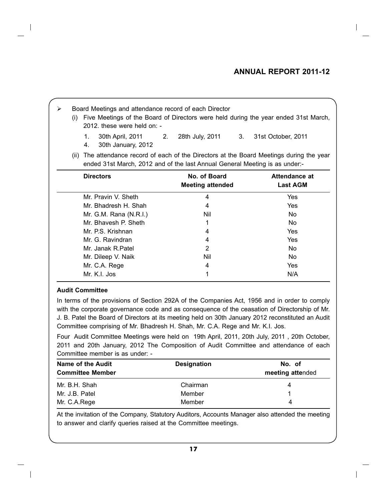## **Annual Report 2011-12**

| ≻ | (i)  | Board Meetings and attendance record of each Director<br>Five Meetings of the Board of Directors were held during the year ended 31st March,<br>$2012$ , these were held on: - |                                                                                                                                                                     |                                  |  |  |
|---|------|--------------------------------------------------------------------------------------------------------------------------------------------------------------------------------|---------------------------------------------------------------------------------------------------------------------------------------------------------------------|----------------------------------|--|--|
|   |      | 30th April, 2011 2.<br>1.<br>30th January, 2012<br>4.                                                                                                                          | 28th July, 2011 3.                                                                                                                                                  | 31st October, 2011               |  |  |
|   | (ii) |                                                                                                                                                                                | The attendance record of each of the Directors at the Board Meetings during the year<br>ended 31st March, 2012 and of the last Annual General Meeting is as under:- |                                  |  |  |
|   |      | <b>Directors</b>                                                                                                                                                               | No. of Board<br><b>Meeting attended</b>                                                                                                                             | Attendance at<br><b>Last AGM</b> |  |  |
|   |      |                                                                                                                                                                                |                                                                                                                                                                     |                                  |  |  |
|   |      | Mr. Pravin V. Sheth                                                                                                                                                            | 4                                                                                                                                                                   | Yes                              |  |  |
|   |      | Mr. Bhadresh H. Shah                                                                                                                                                           | 4                                                                                                                                                                   | Yes                              |  |  |
|   |      | Mr. G.M. Rana $(N.R.I.)$                                                                                                                                                       | Nil                                                                                                                                                                 | No.                              |  |  |
|   |      | Mr. Bhavesh P. Sheth                                                                                                                                                           | 1                                                                                                                                                                   | No.                              |  |  |
|   |      | Mr. P.S. Krishnan                                                                                                                                                              | 4                                                                                                                                                                   | Yes                              |  |  |
|   |      | Mr. G. Ravindran                                                                                                                                                               | 4                                                                                                                                                                   | Yes                              |  |  |
|   |      | Mr. Janak R.Patel                                                                                                                                                              | 2                                                                                                                                                                   | No.                              |  |  |
|   |      | Mr. Dileep V. Naik                                                                                                                                                             | Nil                                                                                                                                                                 | No.                              |  |  |
|   |      | Mr. C.A. Rege                                                                                                                                                                  | 4                                                                                                                                                                   | Yes                              |  |  |

#### **Audit Committee**

In terms of the provisions of Section 292A of the Companies Act, 1956 and in order to comply with the corporate governance code and as consequence of the ceasation of Directorship of Mr. J. B. Patel the Board of Directors at its meeting held on 30th January 2012 reconstituted an Audit Committee comprising of Mr. Bhadresh H. Shah, Mr. C.A. Rege and Mr. K.I. Jos.

Four Audit Committee Meetings were held on 19th April, 2011, 20th July, 2011 , 20th October, 2011 and 20th January, 2012 The Composition of Audit Committee and attendance of each Committee member is as under: -

| Name of the Audit<br><b>Committee Member</b> | <b>Designation</b> | No. of<br>meeting attended |
|----------------------------------------------|--------------------|----------------------------|
| Mr. B.H. Shah                                | Chairman           | 4                          |
| Mr. J.B. Patel                               | Member             |                            |
| Mr. C.A.Rege                                 | Member             | 4                          |

At the invitation of the Company, Statutory Auditors, Accounts Manager also attended the meeting to answer and clarify queries raised at the Committee meetings.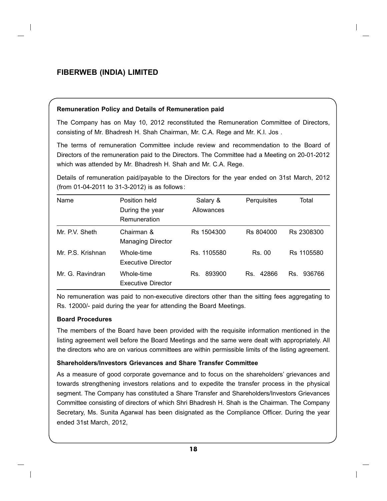#### **Remuneration Policy and Details of Remuneration paid**

The Company has on May 10, 2012 reconstituted the Remuneration Committee of Directors, consisting of Mr. Bhadresh H. Shah Chairman, Mr. C.A. Rege and Mr. K.I. Jos .

The terms of remuneration Committee include review and recommendation to the Board of Directors of the remuneration paid to the Directors. The Committee had a Meeting on 20-01-2012 which was attended by Mr. Bhadresh H. Shah and Mr. C.A. Rege.

Details of remuneration paid/payable to the Directors for the year ended on 31st March, 2012 (from 01-04-2011 to 31-3-2012) is as follows :

| Name              | Position held<br>During the year<br>Remuneration | Salary &<br>Allowances | Perquisites  | Total         |
|-------------------|--------------------------------------------------|------------------------|--------------|---------------|
| Mr. P.V. Sheth    | Chairman &<br><b>Managing Director</b>           | Rs 1504300             | Rs 804000    | Rs 2308300    |
| Mr. P.S. Krishnan | Whole-time<br><b>Executive Director</b>          | Rs. 1105580            | Rs. 00       | Rs 1105580    |
| Mr. G. Ravindran  | Whole-time<br><b>Executive Director</b>          | 893900<br>Rs.          | 42866<br>Rs. | 936766<br>Rs. |

No remuneration was paid to non-executive directors other than the sitting fees aggregating to Rs. 12000/- paid during the year for attending the Board Meetings.

#### **Board Procedures**

The members of the Board have been provided with the requisite information mentioned in the listing agreement well before the Board Meetings and the same were dealt with appropriately. All the directors who are on various committees are within permissible limits of the listing agreement.

#### **Shareholders/Investors Grievances and Share Transfer Committee**

As a measure of good corporate governance and to focus on the shareholders' grievances and towards strengthening investors relations and to expedite the transfer process in the physical segment. The Company has constituted a Share Transfer and Shareholders/Investors Grievances Committee consisting of directors of which Shri Bhadresh H. Shah is the Chairman. The Company Secretary, Ms. Sunita Agarwal has been disignated as the Compliance Officer. During the year ended 31st March, 2012,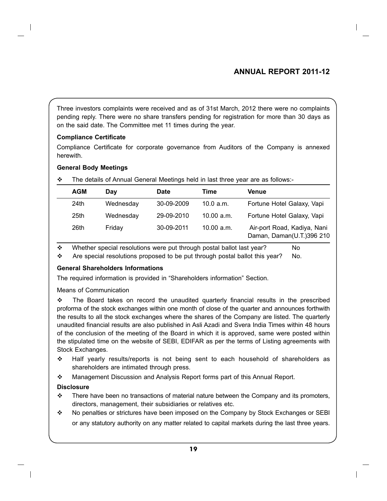## **Annual Report 2011-12**

Three investors complaints were received and as of 31st March, 2012 there were no complaints pending reply. There were no share transfers pending for registration for more than 30 days as on the said date. The Committee met 11 times during the year.

#### **Compliance Certificate**

Compliance Certificate for corporate governance from Auditors of the Company is annexed herewith.

#### **General Body Meetings**

| <b>AGM</b>       | Dav       | <b>Date</b> | Time       | <b>Venue</b>                                             |  |
|------------------|-----------|-------------|------------|----------------------------------------------------------|--|
| 24th             | Wednesday | 30-09-2009  | 10.0 a.m.  | Fortune Hotel Galaxy, Vapi                               |  |
| 25 <sub>th</sub> | Wednesday | 29-09-2010  | 10.00 a.m. | Fortune Hotel Galaxy, Vapi                               |  |
| 26th             | Fridav    | 30-09-2011  | 10.00 a.m. | Air-port Road, Kadiya, Nani<br>Daman, Daman(U.T.)396 210 |  |

 The details of Annual General Meetings held in last three year are as follows:-

 $\cdot \cdot$  Whether special resolutions were put through postal ballot last year? No

 Are special resolutions proposed to be put through postal ballot this year? No.

## **General Shareholders Informations**

The required information is provided in "Shareholders information" Section.

Means of Communication

 $\div$  The Board takes on record the unaudited quarterly financial results in the prescribed proforma of the stock exchanges within one month of close of the quarter and announces forthwith the results to all the stock exchanges where the shares of the Company are listed. The quarterly unaudited financial results are also published in Asli Azadi and Svera India Times within 48 hours of the conclusion of the meeting of the Board in which it is approved, same were posted within the stipulated time on the website of SEBI, EDIFAR as per the terms of Listing agreements with Stock Exchanges.

- $\div$  Half yearly results/reports is not being sent to each household of shareholders as shareholders are intimated through press.
- Management Discussion and Analysis Report forms part of this Annual Report.

## **Disclosure**

- $\div$  There have been no transactions of material nature between the Company and its promoters, directors, management, their subsidiaries or relatives etc.
- No penalties or strictures have been imposed on the Company by Stock Exchanges or SEBI or any statutory authority on any matter related to capital markets during the last three years.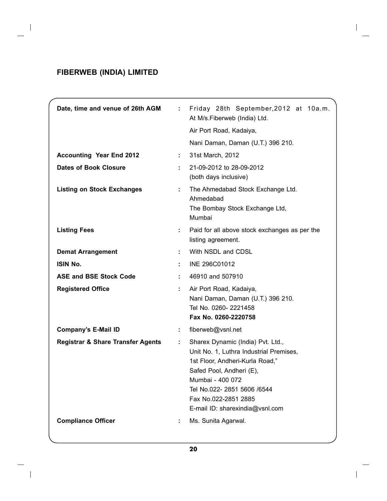$\overline{\phantom{a}}$ 

| Date, time and venue of 26th AGM             | $\mathbf{L}$ | Friday 28th September, 2012 at 10a.m.<br>At M/s.Fiberweb (India) Ltd.                                                                                                                                                                                     |
|----------------------------------------------|--------------|-----------------------------------------------------------------------------------------------------------------------------------------------------------------------------------------------------------------------------------------------------------|
|                                              |              | Air Port Road, Kadaiya,                                                                                                                                                                                                                                   |
|                                              |              | Nani Daman, Daman (U.T.) 396 210.                                                                                                                                                                                                                         |
| <b>Accounting Year End 2012</b>              |              | 31st March, 2012                                                                                                                                                                                                                                          |
| <b>Dates of Book Closure</b>                 |              | 21-09-2012 to 28-09-2012<br>(both days inclusive)                                                                                                                                                                                                         |
| <b>Listing on Stock Exchanges</b>            |              | The Ahmedabad Stock Exchange Ltd.<br>Ahmedabad<br>The Bombay Stock Exchange Ltd,<br>Mumbai                                                                                                                                                                |
| <b>Listing Fees</b>                          | ÷.           | Paid for all above stock exchanges as per the<br>listing agreement.                                                                                                                                                                                       |
| <b>Demat Arrangement</b>                     | ÷.           | With NSDL and CDSL                                                                                                                                                                                                                                        |
| <b>ISIN No.</b>                              |              | INE 296C01012                                                                                                                                                                                                                                             |
| <b>ASE and BSE Stock Code</b>                |              | 46910 and 507910                                                                                                                                                                                                                                          |
| <b>Registered Office</b>                     |              | Air Port Road, Kadaiya,<br>Nani Daman, Daman (U.T.) 396 210.<br>Tel No. 0260-2221458<br>Fax No. 0260-2220758                                                                                                                                              |
| <b>Company's E-Mail ID</b>                   |              | fiberweb@vsnl.net                                                                                                                                                                                                                                         |
| <b>Registrar &amp; Share Transfer Agents</b> | ÷.           | Sharex Dynamic (India) Pvt. Ltd.,<br>Unit No. 1, Luthra Industrial Premises,<br>1st Floor, Andheri-Kurla Road,"<br>Safed Pool, Andheri (E),<br>Mumbai - 400 072<br>Tel No.022- 2851 5606 /6544<br>Fax No.022-2851 2885<br>E-mail ID: sharexindia@vsnl.com |
| <b>Compliance Officer</b>                    |              | Ms. Sunita Agarwal.                                                                                                                                                                                                                                       |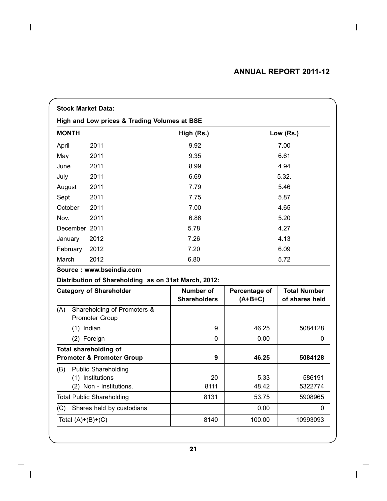|                                              |              | <b>Stock Market Data:</b>                            |                     |               |                     |  |
|----------------------------------------------|--------------|------------------------------------------------------|---------------------|---------------|---------------------|--|
| High and Low prices & Trading Volumes at BSE |              |                                                      |                     |               |                     |  |
| <b>MONTH</b>                                 |              |                                                      | High (Rs.)          |               | Low (Rs.)           |  |
| April                                        |              | 2011                                                 | 9.92                |               | 7.00                |  |
| May                                          |              | 2011                                                 | 9.35                |               | 6.61                |  |
| June                                         |              | 2011                                                 | 8.99                |               | 4.94                |  |
| July                                         |              | 2011                                                 | 6.69                |               | 5.32.               |  |
| August                                       |              | 2011                                                 | 7.79                |               | 5.46                |  |
| Sept                                         |              | 2011                                                 | 7.75                |               | 5.87                |  |
| October                                      |              | 2011                                                 | 7.00                |               | 4.65                |  |
| Nov.                                         |              | 2011                                                 | 6.86                |               | 5.20                |  |
|                                              |              | December 2011                                        | 5.78                |               | 4.27                |  |
| January                                      |              | 2012                                                 | 7.26                |               | 4.13                |  |
|                                              | February     | 2012                                                 | 7.20                |               | 6.09                |  |
| March                                        |              | 2012                                                 | 6.80                |               | 5.72                |  |
|                                              |              | Source: www.bseindia.com                             |                     |               |                     |  |
|                                              |              | Distribution of Shareholding as on 31st March, 2012: |                     |               |                     |  |
|                                              |              | <b>Category of Shareholder</b>                       | <b>Number of</b>    | Percentage of | <b>Total Number</b> |  |
|                                              |              |                                                      | <b>Shareholders</b> | $(A+B+C)$     | of shares held      |  |
| (A)                                          |              | Shareholding of Promoters &<br><b>Promoter Group</b> |                     |               |                     |  |
|                                              | $(1)$ Indian |                                                      | 9                   | 46.25         | 5084128             |  |
|                                              |              | (2) Foreign                                          | 0                   | 0.00          | 0                   |  |
|                                              |              | <b>Total shareholding of</b>                         |                     |               |                     |  |
|                                              |              | <b>Promoter &amp; Promoter Group</b>                 | 9                   | 46.25         | 5084128             |  |
| (B)                                          |              | <b>Public Shareholding</b>                           |                     |               |                     |  |
|                                              |              | (1) Institutions<br>(2) Non - Institutions.          | 20<br>8111          | 5.33<br>48.42 | 586191<br>5322774   |  |
|                                              |              |                                                      |                     |               |                     |  |
|                                              |              | <b>Total Public Shareholding</b>                     | 8131                | 53.75         | 5908965             |  |
| (C)                                          |              | Shares held by custodians                            |                     | 0.00          | 0                   |  |
|                                              |              | Total $(A)+(B)+(C)$                                  | 8140                | 100.00        | 10993093            |  |

 $\overline{\phantom{a}}$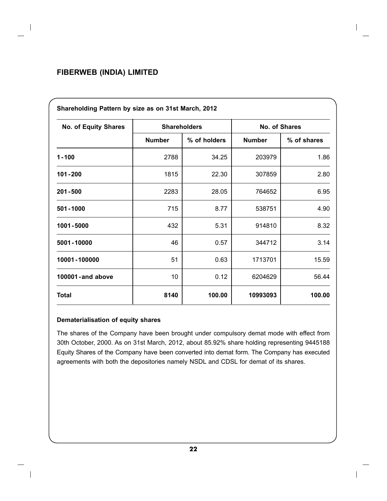| Shareholding Pattern by size as on 31st March, 2012 |                     |              |               |             |  |
|-----------------------------------------------------|---------------------|--------------|---------------|-------------|--|
| <b>No. of Equity Shares</b>                         | <b>Shareholders</b> |              | No. of Shares |             |  |
|                                                     | <b>Number</b>       | % of holders | <b>Number</b> | % of shares |  |
| $1 - 100$                                           | 2788                | 34.25        | 203979        | 1.86        |  |
| 101-200                                             | 1815                | 22.30        | 307859        | 2.80        |  |
| $201 - 500$                                         | 2283                | 28.05        | 764652        | 6.95        |  |
| 501-1000                                            | 715                 | 8.77         | 538751        | 4.90        |  |
| 1001-5000                                           | 432                 | 5.31         | 914810        | 8.32        |  |
| 5001-10000                                          | 46                  | 0.57         | 344712        | 3.14        |  |
| 10001-100000                                        | 51                  | 0.63         | 1713701       | 15.59       |  |
| 100001-and above                                    | 10                  | 0.12         | 6204629       | 56.44       |  |
| <b>Total</b>                                        | 8140                | 100.00       | 10993093      | 100.00      |  |

#### **Dematerialisation of equity shares**

The shares of the Company have been brought under compulsory demat mode with effect from 30th October, 2000. As on 31st March, 2012, about 85.92% share holding representing 9445188 Equity Shares of the Company have been converted into demat form. The Company has executed agreements with both the depositories namely NSDL and CDSL for demat of its shares.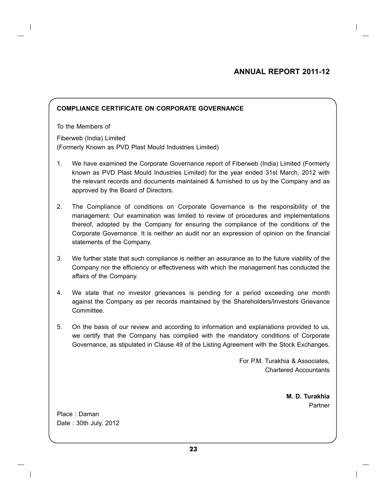## **Annual Report 2011-12**

#### **COMPLIANCE CERTIFICATE ON CORPORATE GOVERNANCE**

To the Members of Fiberweb (India) Limited (Formerly Known as PVD Plast Mould Industries Limited)

- 1. We have examined the Corporate Governance report of Fiberweb (India) Limited (Formerly known as PVD Plast Mould Industries Limited) for the year ended 31st March, 2012 with the relevant records and documents maintained & furnished to us by the Company and as approved by the Board of Directors.
- 2. The Compliance of conditions on Corporate Governance is the responsibility of the management. Our examination was limited to review of procedures and implementations thereof, adopted by the Company for ensuring the compliance of the conditions of the Corporate Governance. It is neither an audit nor an expression of opinion on the financial statements of the Company.
- 3. We further state that such compliance is neither an assurance as to the future viability of the Company nor the efficiency or effectiveness with which the management has conducted the affairs of the Company.
- 4. We state that no investor grievances is pending for a period exceeding one month against the Company as per records maintained by the Shareholders/Investors Grievance Committee.
- 5. On the basis of our review and according to information and explanations provided to us, we certify that the Company has complied with the mandatory conditions of Corporate Governance, as stipulated in Clause 49 of the Listing Agreement with the Stock Exchanges.

For P.M. Turakhia & Associates, Chartered Accountants

> **M. D. Turakhia Partner**

Place : Daman Date : 30th July, 2012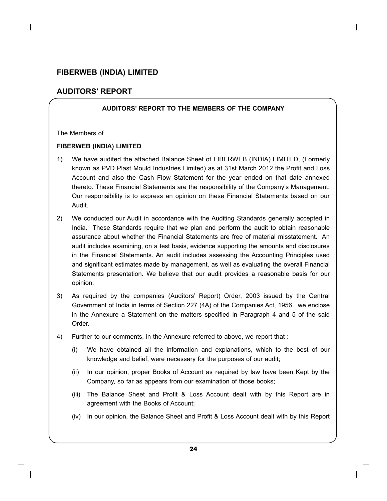## **AUDITORS' REPORT**

#### **AUDITORS' REPORT TO THE MEMBERS OF THE COMPANY**

#### The Members of

#### **FIBERWEB (INDIA) LIMITED**

- 1) We have audited the attached Balance Sheet of FIBERWEB (INDIA) LIMITED, (Formerly known as PVD Plast Mould Industries Limited) as at 31st March 2012 the Profit and Loss Account and also the Cash Flow Statement for the year ended on that date annexed thereto. These Financial Statements are the responsibility of the Company's Management. Our responsibility is to express an opinion on these Financial Statements based on our Audit.
- 2) We conducted our Audit in accordance with the Auditing Standards generally accepted in India. These Standards require that we plan and perform the audit to obtain reasonable assurance about whether the Financial Statements are free of material misstatement. An audit includes examining, on a test basis, evidence supporting the amounts and disclosures in the Financial Statements. An audit includes assessing the Accounting Principles used and significant estimates made by management, as well as evaluating the overall Financial Statements presentation. We believe that our audit provides a reasonable basis for our opinion.
- 3) As required by the companies (Auditors' Report) Order, 2003 issued by the Central Government of India in terms of Section 227 (4A) of the Companies Act, 1956 , we enclose in the Annexure a Statement on the matters specified in Paragraph 4 and 5 of the said Order.
- 4) Further to our comments, in the Annexure referred to above, we report that :
	- (i) We have obtained all the information and explanations, which to the best of our knowledge and belief, were necessary for the purposes of our audit;
	- (ii) In our opinion, proper Books of Account as required by law have been Kept by the Company, so far as appears from our examination of those books;
	- (iii) The Balance Sheet and Profit & Loss Account dealt with by this Report are in agreement with the Books of Account;
	- (iv) In our opinion, the Balance Sheet and Profit & Loss Account dealt with by this Report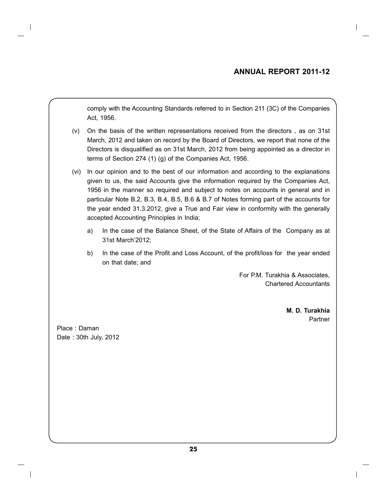## **Annual Report 2011-12**

comply with the Accounting Standards referred to in Section 211 (3C) of the Companies Act, 1956.

- (v) On the basis of the written representations received from the directors , as on 31st March, 2012 and taken on record by the Board of Directors, we report that none of the Directors is disqualified as on 31st March, 2012 from being appointed as a director in terms of Section 274 (1) (g) of the Companies Act, 1956.
- (vi) In our opinion and to the best of our information and according to the explanations given to us, the said Accounts give the information required by the Companies Act, 1956 in the manner so required and subject to notes on accounts in general and in particular Note B.2, B.3, B.4, B.5, B.6 & B.7 of Notes forming part of the accounts for the year ended 31.3.2012, give a True and Fair view in conformity with the generally accepted Accounting Principles in India;
	- a) In the case of the Balance Sheet, of the State of Affairs of the Company as at 31st March'2012;
	- b) In the case of the Profit and Loss Account, of the profit/loss for the year ended on that date; and

For P.M. Turakhia & Associates, Chartered Accountants

> **M. D. Turakhia** Partner

Place : Daman Date : 30th July, 2012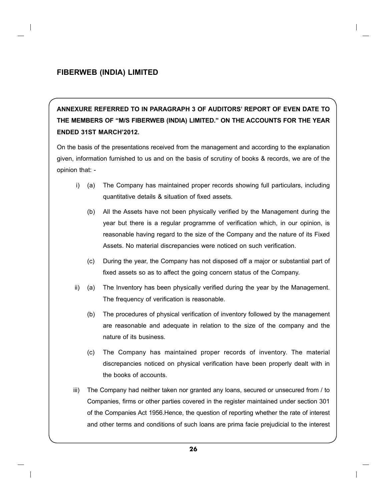**ANNEXURE REFERRED TO IN PARAGRAPH 3 OF AUDITORS' REPORT OF EVEN DATE TO THE MEMBERS OF "M/S FIBERWEB (INDIA) LIMITED." ON THE ACCOUNTS FOR THE YEAR ENDED 31ST MARCH'2012.**

On the basis of the presentations received from the management and according to the explanation given, information furnished to us and on the basis of scrutiny of books & records, we are of the opinion that: -

- i) (a) The Company has maintained proper records showing full particulars, including quantitative details & situation of fixed assets.
	- (b) All the Assets have not been physically verified by the Management during the year but there is a regular programme of verification which, in our opinion, is reasonable having regard to the size of the Company and the nature of its Fixed Assets. No material discrepancies were noticed on such verification.
	- (c) During the year, the Company has not disposed off a major or substantial part of fixed assets so as to affect the going concern status of the Company.
- ii) (a) The Inventory has been physically verified during the year by the Management. The frequency of verification is reasonable.
	- (b) The procedures of physical verification of inventory followed by the management are reasonable and adequate in relation to the size of the company and the nature of its business.
	- (c) The Company has maintained proper records of inventory. The material discrepancies noticed on physical verification have been properly dealt with in the books of accounts.
- iii) The Company had neither taken nor granted any loans, secured or unsecured from / to Companies, firms or other parties covered in the register maintained under section 301 of the Companies Act 1956.Hence, the question of reporting whether the rate of interest and other terms and conditions of such loans are prima facie prejudicial to the interest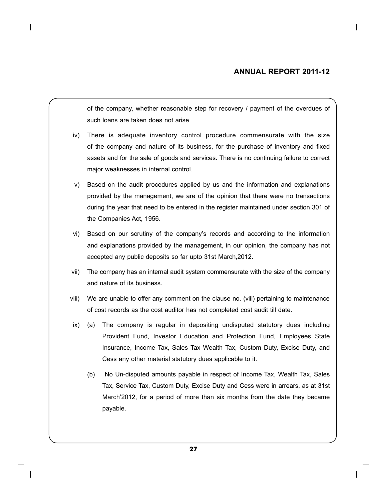#### **Annual Report 2011-12**

of the company, whether reasonable step for recovery / payment of the overdues of such loans are taken does not arise

- iv) There is adequate inventory control procedure commensurate with the size of the company and nature of its business, for the purchase of inventory and fixed assets and for the sale of goods and services. There is no continuing failure to correct major weaknesses in internal control.
- v) Based on the audit procedures applied by us and the information and explanations provided by the management, we are of the opinion that there were no transactions during the year that need to be entered in the register maintained under section 301 of the Companies Act, 1956.
- vi) Based on our scrutiny of the company's records and according to the information and explanations provided by the management, in our opinion, the company has not accepted any public deposits so far upto 31st March,2012.
- vii) The company has an internal audit system commensurate with the size of the company and nature of its business.
- viii) We are unable to offer any comment on the clause no. (viii) pertaining to maintenance of cost records as the cost auditor has not completed cost audit till date.
- ix) (a) The company is regular in depositing undisputed statutory dues including Provident Fund, Investor Education and Protection Fund, Employees State Insurance, Income Tax, Sales Tax Wealth Tax, Custom Duty, Excise Duty, and Cess any other material statutory dues applicable to it.
	- (b) No Un-disputed amounts payable in respect of Income Tax, Wealth Tax, Sales Tax, Service Tax, Custom Duty, Excise Duty and Cess were in arrears, as at 31st March'2012, for a period of more than six months from the date they became payable.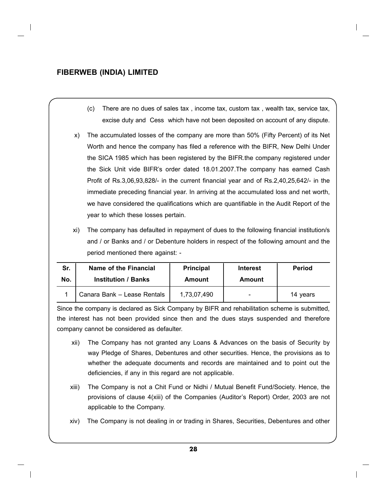- (c) There are no dues of sales tax , income tax, custom tax , wealth tax, service tax, excise duty and Cess which have not been deposited on account of any dispute.
- x) The accumulated losses of the company are more than 50% (Fifty Percent) of its Net Worth and hence the company has filed a reference with the BIFR, New Delhi Under the SICA 1985 which has been registered by the BIFR.the company registered under the Sick Unit vide BIFR's order dated 18.01.2007.The company has earned Cash Profit of Rs.3,06,93,828/- in the current financial year and of Rs.2,40,25,642/- in the immediate preceding financial year. In arriving at the accumulated loss and net worth, we have considered the qualifications which are quantifiable in the Audit Report of the year to which these losses pertain.
- xi) The company has defaulted in repayment of dues to the following financial institution/s and / or Banks and / or Debenture holders in respect of the following amount and the period mentioned there against: -

| Sr. | Name of the Financial       | <b>Principal</b> | <b>Interest</b> | <b>Period</b> |
|-----|-----------------------------|------------------|-----------------|---------------|
| No. | <b>Institution / Banks</b>  | Amount           | <b>Amount</b>   |               |
|     | Canara Bank - Lease Rentals | 1,73,07,490      |                 | 14 years      |

Since the company is declared as Sick Company by BIFR and rehabilitation scheme is submitted, the interest has not been provided since then and the dues stays suspended and therefore company cannot be considered as defaulter.

- xii) The Company has not granted any Loans & Advances on the basis of Security by way Pledge of Shares, Debentures and other securities. Hence, the provisions as to whether the adequate documents and records are maintained and to point out the deficiencies, if any in this regard are not applicable.
- xiii) The Company is not a Chit Fund or Nidhi / Mutual Benefit Fund/Society. Hence, the provisions of clause 4(xiii) of the Companies (Auditor's Report) Order, 2003 are not applicable to the Company.
- xiv) The Company is not dealing in or trading in Shares, Securities, Debentures and other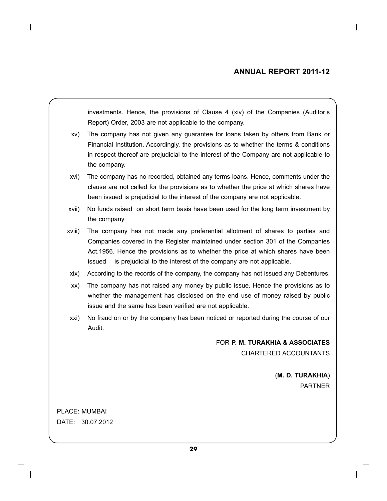investments. Hence, the provisions of Clause 4 (xiv) of the Companies (Auditor's Report) Order, 2003 are not applicable to the company.

- xv) The company has not given any guarantee for loans taken by others from Bank or Financial Institution. Accordingly, the provisions as to whether the terms & conditions in respect thereof are prejudicial to the interest of the Company are not applicable to the company.
- xvi) The company has no recorded, obtained any terms loans. Hence, comments under the clause are not called for the provisions as to whether the price at which shares have been issued is prejudicial to the interest of the company are not applicable.
- xvii) No funds raised on short term basis have been used for the long term investment by the company
- xviii) The company has not made any preferential allotment of shares to parties and Companies covered in the Register maintained under section 301 of the Companies Act.1956. Hence the provisions as to whether the price at which shares have been issued is prejudicial to the interest of the company are not applicable.
- xix) According to the records of the company, the company has not issued any Debentures.
- xx) The company has not raised any money by public issue. Hence the provisions as to whether the management has disclosed on the end use of money raised by public issue and the same has been verified are not applicable.
- xxi) No fraud on or by the company has been noticed or reported during the course of our Audit.

FOR **P. M. TURAKHIA & ASSOCIATES** CHARTERED ACCOUNTANTS

> (**M. D. TURAKHIA**) PARTNER

PLACE: MUMBAI DATE: 30.07.2012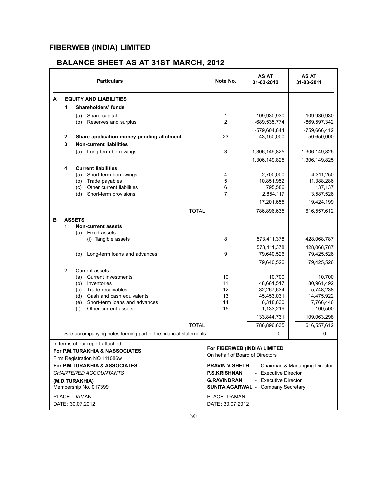## **BALANCE SHEET AS AT 31ST MARCH, 2012**

| A<br><b>EQUITY AND LIABILITIES</b><br>1<br>Shareholders' funds<br>Share capital<br>109,930,930<br>109,930,930<br>(a)<br>1<br>$\overline{c}$<br>(b)<br>Reserves and surplus<br>-689,535,774<br>-869,597,342<br>-579,604,844<br>-759,666,412<br>23<br>2<br>Share application money pending allotment<br>43,150,000<br>50,650,000<br>3<br><b>Non-current liabilities</b><br>3<br>(a) Long-term borrowings<br>1,306,149,825<br>1,306,149,825<br>1,306,149,825<br>1,306,149,825<br><b>Current liabilities</b><br>4<br>2,700,000<br>Short-term borrowings<br>4,311,250<br>(a)<br>4<br>Trade payables<br>5<br>10,851,952<br>11,388,286<br>(b)<br>6<br>(c)<br>Other current liabilities<br>795,586<br>137,137<br>7<br>(d)<br>Short-term provisions<br>2,854,117<br>3,587,526<br>17,201,655<br>19,424,199<br><b>TOTAL</b><br>786,896,635<br>616,557,612<br>в<br><b>ASSETS</b><br>1<br><b>Non-current assets</b><br><b>Fixed assets</b><br>(a)<br>8<br>(i) Tangible assets<br>573,411,378<br>428,068,787<br>573,411,378<br>428,068,787<br>Long-term loans and advances<br>9<br>79,640,526<br>79,425,526<br>(b)<br>79,640,526<br>79,425,526<br>2<br><b>Current assets</b><br><b>Current investments</b><br>10<br>10,700<br>10,700<br>(a)<br>80,961,492<br>Inventories<br>11<br>48,661,517<br>(b)<br>12<br>Trade receivables<br>5,748,238<br>(c)<br>32,267,634<br>13<br>Cash and cash equivalents<br>45,453,031<br>14,475,922<br>(d)<br>Short-term loans and advances<br>14<br>6,318,630<br>7,766,446<br>(e)<br>Other current assets<br>15<br>(f)<br>1,133,219<br>100,500<br>133,844,731<br>109,063,298<br><b>TOTAL</b><br>786,896,635<br>616,557,612<br>See accompanying notes forming part of the financial statements<br>-0<br>0<br>In terms of our report attached.<br>For FIBERWEB (INDIA) LIMITED<br>For P.M.TURAKHIA & NASSOCIATES<br>On hehalf of Board of Directors<br>Firm Registration NO 111086w<br>For P.M.TURAKHIA & ASSOCIATES<br><b>PRAVIN V SHETH</b><br>- Chairman & Mananging Director<br><b>CHARTERED ACCOUNTANTS</b><br>- Executive Director<br><b>P.S.KRISHNAN</b><br><b>G.RAVINDRAN</b><br>- Executive Director<br>(M.D.TURAKHIA)<br>Membership No. 017399<br><b>SUNITA AGARWAL - Company Secretary</b><br>PLACE: DAMAN<br>PLACE: DAMAN |  | <b>Particulars</b> | Note No. | AS AT<br>31-03-2012 | AS AT<br>31-03-2011 |
|----------------------------------------------------------------------------------------------------------------------------------------------------------------------------------------------------------------------------------------------------------------------------------------------------------------------------------------------------------------------------------------------------------------------------------------------------------------------------------------------------------------------------------------------------------------------------------------------------------------------------------------------------------------------------------------------------------------------------------------------------------------------------------------------------------------------------------------------------------------------------------------------------------------------------------------------------------------------------------------------------------------------------------------------------------------------------------------------------------------------------------------------------------------------------------------------------------------------------------------------------------------------------------------------------------------------------------------------------------------------------------------------------------------------------------------------------------------------------------------------------------------------------------------------------------------------------------------------------------------------------------------------------------------------------------------------------------------------------------------------------------------------------------------------------------------------------------------------------------------------------------------------------------------------------------------------------------------------------------------------------------------------------------------------------------------------------------------------------------------------------------------------------------------------------------------------------------------------------------------------------|--|--------------------|----------|---------------------|---------------------|
|                                                                                                                                                                                                                                                                                                                                                                                                                                                                                                                                                                                                                                                                                                                                                                                                                                                                                                                                                                                                                                                                                                                                                                                                                                                                                                                                                                                                                                                                                                                                                                                                                                                                                                                                                                                                                                                                                                                                                                                                                                                                                                                                                                                                                                                    |  |                    |          |                     |                     |
|                                                                                                                                                                                                                                                                                                                                                                                                                                                                                                                                                                                                                                                                                                                                                                                                                                                                                                                                                                                                                                                                                                                                                                                                                                                                                                                                                                                                                                                                                                                                                                                                                                                                                                                                                                                                                                                                                                                                                                                                                                                                                                                                                                                                                                                    |  |                    |          |                     |                     |
|                                                                                                                                                                                                                                                                                                                                                                                                                                                                                                                                                                                                                                                                                                                                                                                                                                                                                                                                                                                                                                                                                                                                                                                                                                                                                                                                                                                                                                                                                                                                                                                                                                                                                                                                                                                                                                                                                                                                                                                                                                                                                                                                                                                                                                                    |  |                    |          |                     |                     |
|                                                                                                                                                                                                                                                                                                                                                                                                                                                                                                                                                                                                                                                                                                                                                                                                                                                                                                                                                                                                                                                                                                                                                                                                                                                                                                                                                                                                                                                                                                                                                                                                                                                                                                                                                                                                                                                                                                                                                                                                                                                                                                                                                                                                                                                    |  |                    |          |                     |                     |
|                                                                                                                                                                                                                                                                                                                                                                                                                                                                                                                                                                                                                                                                                                                                                                                                                                                                                                                                                                                                                                                                                                                                                                                                                                                                                                                                                                                                                                                                                                                                                                                                                                                                                                                                                                                                                                                                                                                                                                                                                                                                                                                                                                                                                                                    |  |                    |          |                     |                     |
|                                                                                                                                                                                                                                                                                                                                                                                                                                                                                                                                                                                                                                                                                                                                                                                                                                                                                                                                                                                                                                                                                                                                                                                                                                                                                                                                                                                                                                                                                                                                                                                                                                                                                                                                                                                                                                                                                                                                                                                                                                                                                                                                                                                                                                                    |  |                    |          |                     |                     |
|                                                                                                                                                                                                                                                                                                                                                                                                                                                                                                                                                                                                                                                                                                                                                                                                                                                                                                                                                                                                                                                                                                                                                                                                                                                                                                                                                                                                                                                                                                                                                                                                                                                                                                                                                                                                                                                                                                                                                                                                                                                                                                                                                                                                                                                    |  |                    |          |                     |                     |
|                                                                                                                                                                                                                                                                                                                                                                                                                                                                                                                                                                                                                                                                                                                                                                                                                                                                                                                                                                                                                                                                                                                                                                                                                                                                                                                                                                                                                                                                                                                                                                                                                                                                                                                                                                                                                                                                                                                                                                                                                                                                                                                                                                                                                                                    |  |                    |          |                     |                     |
|                                                                                                                                                                                                                                                                                                                                                                                                                                                                                                                                                                                                                                                                                                                                                                                                                                                                                                                                                                                                                                                                                                                                                                                                                                                                                                                                                                                                                                                                                                                                                                                                                                                                                                                                                                                                                                                                                                                                                                                                                                                                                                                                                                                                                                                    |  |                    |          |                     |                     |
|                                                                                                                                                                                                                                                                                                                                                                                                                                                                                                                                                                                                                                                                                                                                                                                                                                                                                                                                                                                                                                                                                                                                                                                                                                                                                                                                                                                                                                                                                                                                                                                                                                                                                                                                                                                                                                                                                                                                                                                                                                                                                                                                                                                                                                                    |  |                    |          |                     |                     |
|                                                                                                                                                                                                                                                                                                                                                                                                                                                                                                                                                                                                                                                                                                                                                                                                                                                                                                                                                                                                                                                                                                                                                                                                                                                                                                                                                                                                                                                                                                                                                                                                                                                                                                                                                                                                                                                                                                                                                                                                                                                                                                                                                                                                                                                    |  |                    |          |                     |                     |
|                                                                                                                                                                                                                                                                                                                                                                                                                                                                                                                                                                                                                                                                                                                                                                                                                                                                                                                                                                                                                                                                                                                                                                                                                                                                                                                                                                                                                                                                                                                                                                                                                                                                                                                                                                                                                                                                                                                                                                                                                                                                                                                                                                                                                                                    |  |                    |          |                     |                     |
|                                                                                                                                                                                                                                                                                                                                                                                                                                                                                                                                                                                                                                                                                                                                                                                                                                                                                                                                                                                                                                                                                                                                                                                                                                                                                                                                                                                                                                                                                                                                                                                                                                                                                                                                                                                                                                                                                                                                                                                                                                                                                                                                                                                                                                                    |  |                    |          |                     |                     |
|                                                                                                                                                                                                                                                                                                                                                                                                                                                                                                                                                                                                                                                                                                                                                                                                                                                                                                                                                                                                                                                                                                                                                                                                                                                                                                                                                                                                                                                                                                                                                                                                                                                                                                                                                                                                                                                                                                                                                                                                                                                                                                                                                                                                                                                    |  |                    |          |                     |                     |
|                                                                                                                                                                                                                                                                                                                                                                                                                                                                                                                                                                                                                                                                                                                                                                                                                                                                                                                                                                                                                                                                                                                                                                                                                                                                                                                                                                                                                                                                                                                                                                                                                                                                                                                                                                                                                                                                                                                                                                                                                                                                                                                                                                                                                                                    |  |                    |          |                     |                     |
|                                                                                                                                                                                                                                                                                                                                                                                                                                                                                                                                                                                                                                                                                                                                                                                                                                                                                                                                                                                                                                                                                                                                                                                                                                                                                                                                                                                                                                                                                                                                                                                                                                                                                                                                                                                                                                                                                                                                                                                                                                                                                                                                                                                                                                                    |  |                    |          |                     |                     |
|                                                                                                                                                                                                                                                                                                                                                                                                                                                                                                                                                                                                                                                                                                                                                                                                                                                                                                                                                                                                                                                                                                                                                                                                                                                                                                                                                                                                                                                                                                                                                                                                                                                                                                                                                                                                                                                                                                                                                                                                                                                                                                                                                                                                                                                    |  |                    |          |                     |                     |
|                                                                                                                                                                                                                                                                                                                                                                                                                                                                                                                                                                                                                                                                                                                                                                                                                                                                                                                                                                                                                                                                                                                                                                                                                                                                                                                                                                                                                                                                                                                                                                                                                                                                                                                                                                                                                                                                                                                                                                                                                                                                                                                                                                                                                                                    |  |                    |          |                     |                     |
|                                                                                                                                                                                                                                                                                                                                                                                                                                                                                                                                                                                                                                                                                                                                                                                                                                                                                                                                                                                                                                                                                                                                                                                                                                                                                                                                                                                                                                                                                                                                                                                                                                                                                                                                                                                                                                                                                                                                                                                                                                                                                                                                                                                                                                                    |  |                    |          |                     |                     |
|                                                                                                                                                                                                                                                                                                                                                                                                                                                                                                                                                                                                                                                                                                                                                                                                                                                                                                                                                                                                                                                                                                                                                                                                                                                                                                                                                                                                                                                                                                                                                                                                                                                                                                                                                                                                                                                                                                                                                                                                                                                                                                                                                                                                                                                    |  |                    |          |                     |                     |
|                                                                                                                                                                                                                                                                                                                                                                                                                                                                                                                                                                                                                                                                                                                                                                                                                                                                                                                                                                                                                                                                                                                                                                                                                                                                                                                                                                                                                                                                                                                                                                                                                                                                                                                                                                                                                                                                                                                                                                                                                                                                                                                                                                                                                                                    |  |                    |          |                     |                     |
|                                                                                                                                                                                                                                                                                                                                                                                                                                                                                                                                                                                                                                                                                                                                                                                                                                                                                                                                                                                                                                                                                                                                                                                                                                                                                                                                                                                                                                                                                                                                                                                                                                                                                                                                                                                                                                                                                                                                                                                                                                                                                                                                                                                                                                                    |  |                    |          |                     |                     |
|                                                                                                                                                                                                                                                                                                                                                                                                                                                                                                                                                                                                                                                                                                                                                                                                                                                                                                                                                                                                                                                                                                                                                                                                                                                                                                                                                                                                                                                                                                                                                                                                                                                                                                                                                                                                                                                                                                                                                                                                                                                                                                                                                                                                                                                    |  |                    |          |                     |                     |
|                                                                                                                                                                                                                                                                                                                                                                                                                                                                                                                                                                                                                                                                                                                                                                                                                                                                                                                                                                                                                                                                                                                                                                                                                                                                                                                                                                                                                                                                                                                                                                                                                                                                                                                                                                                                                                                                                                                                                                                                                                                                                                                                                                                                                                                    |  |                    |          |                     |                     |
|                                                                                                                                                                                                                                                                                                                                                                                                                                                                                                                                                                                                                                                                                                                                                                                                                                                                                                                                                                                                                                                                                                                                                                                                                                                                                                                                                                                                                                                                                                                                                                                                                                                                                                                                                                                                                                                                                                                                                                                                                                                                                                                                                                                                                                                    |  |                    |          |                     |                     |
|                                                                                                                                                                                                                                                                                                                                                                                                                                                                                                                                                                                                                                                                                                                                                                                                                                                                                                                                                                                                                                                                                                                                                                                                                                                                                                                                                                                                                                                                                                                                                                                                                                                                                                                                                                                                                                                                                                                                                                                                                                                                                                                                                                                                                                                    |  |                    |          |                     |                     |
|                                                                                                                                                                                                                                                                                                                                                                                                                                                                                                                                                                                                                                                                                                                                                                                                                                                                                                                                                                                                                                                                                                                                                                                                                                                                                                                                                                                                                                                                                                                                                                                                                                                                                                                                                                                                                                                                                                                                                                                                                                                                                                                                                                                                                                                    |  |                    |          |                     |                     |
|                                                                                                                                                                                                                                                                                                                                                                                                                                                                                                                                                                                                                                                                                                                                                                                                                                                                                                                                                                                                                                                                                                                                                                                                                                                                                                                                                                                                                                                                                                                                                                                                                                                                                                                                                                                                                                                                                                                                                                                                                                                                                                                                                                                                                                                    |  |                    |          |                     |                     |
|                                                                                                                                                                                                                                                                                                                                                                                                                                                                                                                                                                                                                                                                                                                                                                                                                                                                                                                                                                                                                                                                                                                                                                                                                                                                                                                                                                                                                                                                                                                                                                                                                                                                                                                                                                                                                                                                                                                                                                                                                                                                                                                                                                                                                                                    |  |                    |          |                     |                     |
|                                                                                                                                                                                                                                                                                                                                                                                                                                                                                                                                                                                                                                                                                                                                                                                                                                                                                                                                                                                                                                                                                                                                                                                                                                                                                                                                                                                                                                                                                                                                                                                                                                                                                                                                                                                                                                                                                                                                                                                                                                                                                                                                                                                                                                                    |  |                    |          |                     |                     |
|                                                                                                                                                                                                                                                                                                                                                                                                                                                                                                                                                                                                                                                                                                                                                                                                                                                                                                                                                                                                                                                                                                                                                                                                                                                                                                                                                                                                                                                                                                                                                                                                                                                                                                                                                                                                                                                                                                                                                                                                                                                                                                                                                                                                                                                    |  |                    |          |                     |                     |
|                                                                                                                                                                                                                                                                                                                                                                                                                                                                                                                                                                                                                                                                                                                                                                                                                                                                                                                                                                                                                                                                                                                                                                                                                                                                                                                                                                                                                                                                                                                                                                                                                                                                                                                                                                                                                                                                                                                                                                                                                                                                                                                                                                                                                                                    |  |                    |          |                     |                     |
|                                                                                                                                                                                                                                                                                                                                                                                                                                                                                                                                                                                                                                                                                                                                                                                                                                                                                                                                                                                                                                                                                                                                                                                                                                                                                                                                                                                                                                                                                                                                                                                                                                                                                                                                                                                                                                                                                                                                                                                                                                                                                                                                                                                                                                                    |  |                    |          |                     |                     |
|                                                                                                                                                                                                                                                                                                                                                                                                                                                                                                                                                                                                                                                                                                                                                                                                                                                                                                                                                                                                                                                                                                                                                                                                                                                                                                                                                                                                                                                                                                                                                                                                                                                                                                                                                                                                                                                                                                                                                                                                                                                                                                                                                                                                                                                    |  |                    |          |                     |                     |
|                                                                                                                                                                                                                                                                                                                                                                                                                                                                                                                                                                                                                                                                                                                                                                                                                                                                                                                                                                                                                                                                                                                                                                                                                                                                                                                                                                                                                                                                                                                                                                                                                                                                                                                                                                                                                                                                                                                                                                                                                                                                                                                                                                                                                                                    |  |                    |          |                     |                     |
|                                                                                                                                                                                                                                                                                                                                                                                                                                                                                                                                                                                                                                                                                                                                                                                                                                                                                                                                                                                                                                                                                                                                                                                                                                                                                                                                                                                                                                                                                                                                                                                                                                                                                                                                                                                                                                                                                                                                                                                                                                                                                                                                                                                                                                                    |  |                    |          |                     |                     |
|                                                                                                                                                                                                                                                                                                                                                                                                                                                                                                                                                                                                                                                                                                                                                                                                                                                                                                                                                                                                                                                                                                                                                                                                                                                                                                                                                                                                                                                                                                                                                                                                                                                                                                                                                                                                                                                                                                                                                                                                                                                                                                                                                                                                                                                    |  |                    |          |                     |                     |
|                                                                                                                                                                                                                                                                                                                                                                                                                                                                                                                                                                                                                                                                                                                                                                                                                                                                                                                                                                                                                                                                                                                                                                                                                                                                                                                                                                                                                                                                                                                                                                                                                                                                                                                                                                                                                                                                                                                                                                                                                                                                                                                                                                                                                                                    |  |                    |          |                     |                     |
| DATE: 30.07.2012<br>DATE: 30.07.2012                                                                                                                                                                                                                                                                                                                                                                                                                                                                                                                                                                                                                                                                                                                                                                                                                                                                                                                                                                                                                                                                                                                                                                                                                                                                                                                                                                                                                                                                                                                                                                                                                                                                                                                                                                                                                                                                                                                                                                                                                                                                                                                                                                                                               |  |                    |          |                     |                     |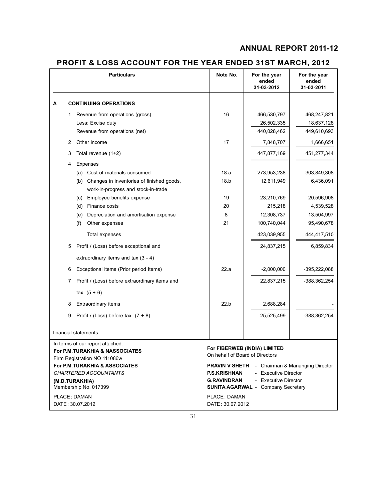## **PROFIT & LOSS ACCOUNT FOR THE YEAR ENDED 31ST MARCH, 2012**

|                                                                                                    |   | <b>Particulars</b>                                            | Note No.                                  | For the year<br>ended<br>31-03-2012                                                       | For the year<br>ended<br>31-03-2011 |
|----------------------------------------------------------------------------------------------------|---|---------------------------------------------------------------|-------------------------------------------|-------------------------------------------------------------------------------------------|-------------------------------------|
| А                                                                                                  |   | <b>CONTINUING OPERATIONS</b>                                  |                                           |                                                                                           |                                     |
|                                                                                                    | 1 | Revenue from operations (gross)                               | 16                                        | 466,530,797                                                                               | 468,247,821                         |
|                                                                                                    |   | Less: Excise duty                                             |                                           | 26,502,335                                                                                | 18,637,128                          |
|                                                                                                    |   | Revenue from operations (net)                                 |                                           | 440,028,462                                                                               | 449,610,693                         |
|                                                                                                    | 2 | Other income                                                  | 17                                        | 7,848,707                                                                                 | 1,666,651                           |
|                                                                                                    | 3 | Total revenue (1+2)                                           |                                           | 447,877,169                                                                               | 451,277,344                         |
|                                                                                                    | 4 | Expenses                                                      |                                           |                                                                                           |                                     |
|                                                                                                    |   | (a) Cost of materials consumed                                | 18.a                                      | 273,953,238                                                                               | 303,849,308                         |
|                                                                                                    |   | Changes in inventories of finished goods,<br>(b)              | 18.b                                      | 12,611,949                                                                                | 6,436,091                           |
|                                                                                                    |   | work-in-progress and stock-in-trade                           |                                           |                                                                                           |                                     |
|                                                                                                    |   | Employee benefits expense<br>(c)                              | 19                                        | 23,210,769                                                                                | 20,596,908                          |
|                                                                                                    |   | Finance costs<br>(d)<br>Depreciation and amortisation expense | 20<br>8                                   | 215,218                                                                                   | 4,539,528                           |
|                                                                                                    |   | (e)<br>(f)<br>Other expenses                                  | 21                                        | 12,308,737<br>100,740,044                                                                 | 13,504,997<br>95,490,678            |
|                                                                                                    |   | Total expenses                                                |                                           | 423,039,955                                                                               | 444,417,510                         |
|                                                                                                    | 5 | Profit / (Loss) before exceptional and                        |                                           | 24,837,215                                                                                | 6,859,834                           |
|                                                                                                    |   | extraordinary items and tax $(3 - 4)$                         |                                           |                                                                                           |                                     |
|                                                                                                    | 6 | Exceptional items (Prior period Items)                        | 22.a                                      | $-2,000,000$                                                                              | -395,222,088                        |
|                                                                                                    | 7 | Profit / (Loss) before extraordinary items and                |                                           | 22,837,215                                                                                | -388,362,254                        |
|                                                                                                    |   | $\text{tax} (5 + 6)$                                          |                                           |                                                                                           |                                     |
|                                                                                                    | 8 | Extraordinary items                                           | 22.b                                      | 2,688,284                                                                                 |                                     |
|                                                                                                    | 9 | Profit / (Loss) before tax $(7 + 8)$                          |                                           | 25,525,499                                                                                | -388,362,254                        |
|                                                                                                    |   | financial statements                                          |                                           |                                                                                           |                                     |
| In terms of our report attached.<br>For P.M.TURAKHIA & NASSOCIATES<br>Firm Registration NO 111086w |   | On hehalf of Board of Directors                               | For FIBERWEB (INDIA) LIMITED              |                                                                                           |                                     |
| <b>For P.M.TURAKHIA &amp; ASSOCIATES</b>                                                           |   |                                                               | <b>PRAVIN V SHETH</b>                     |                                                                                           | - Chairman & Mananging Director     |
| <i>CHARTERED ACCOUNTANTS</i><br>(M.D.TURAKHIA)<br>Membership No. 017399                            |   |                                                               | <b>P.S.KRISHNAN</b><br><b>G.RAVINDRAN</b> | - Executive Director<br>- Executive Director<br><b>SUNITA AGARWAL - Company Secretary</b> |                                     |
|                                                                                                    |   | PLACE: DAMAN<br>DATE: 30.07.2012                              | PLACE: DAMAN<br>DATE: 30.07.2012          |                                                                                           |                                     |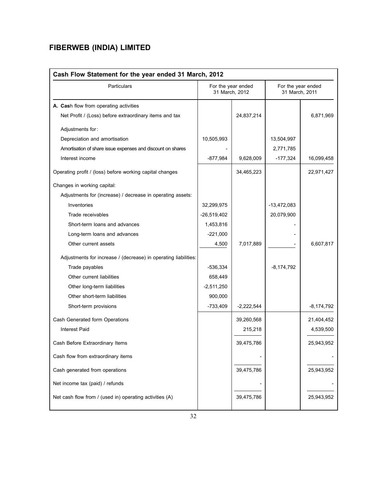| Cash Flow Statement for the year ended 31 March, 2012           |               |                                      |                                      |              |  |
|-----------------------------------------------------------------|---------------|--------------------------------------|--------------------------------------|--------------|--|
| Particulars                                                     |               | For the year ended<br>31 March. 2012 | For the year ended<br>31 March, 2011 |              |  |
| A. Cash flow from operating activities                          |               |                                      |                                      |              |  |
| Net Profit / (Loss) before extraordinary items and tax          |               | 24,837,214                           |                                      | 6,871,969    |  |
| Adjustments for:                                                |               |                                      |                                      |              |  |
| Depreciation and amortisation                                   | 10,505,993    |                                      | 13,504,997                           |              |  |
| Amortisation of share issue expenses and discount on shares     |               |                                      | 2,771,785                            |              |  |
| Interest income                                                 | $-877,984$    | 9,628,009                            | $-177,324$                           | 16,099,458   |  |
| Operating profit / (loss) before working capital changes        |               | 34,465,223                           |                                      | 22,971,427   |  |
| Changes in working capital:                                     |               |                                      |                                      |              |  |
| Adjustments for (increase) / decrease in operating assets:      |               |                                      |                                      |              |  |
| Inventories                                                     | 32,299,975    |                                      | $-13,472,083$                        |              |  |
| Trade receivables                                               | $-26,519,402$ |                                      | 20,079,900                           |              |  |
| Short-term loans and advances                                   | 1,453,816     |                                      |                                      |              |  |
| Long-term loans and advances                                    | $-221,000$    |                                      |                                      |              |  |
| Other current assets                                            | 4,500         | 7,017,889                            |                                      | 6,607,817    |  |
| Adjustments for increase / (decrease) in operating liabilities: |               |                                      |                                      |              |  |
| Trade payables                                                  | $-536,334$    |                                      | $-8,174,792$                         |              |  |
| Other current liabilities                                       | 658,449       |                                      |                                      |              |  |
| Other long-term liabilities                                     | $-2,511,250$  |                                      |                                      |              |  |
| Other short-term liabilities                                    | 900,000       |                                      |                                      |              |  |
| Short-term provisions                                           | $-733,409$    | $-2,222,544$                         |                                      | $-8,174,792$ |  |
| Cash Generated form Operations                                  |               | 39,260,568                           |                                      | 21,404,452   |  |
| <b>Interest Paid</b>                                            |               | 215,218                              |                                      | 4,539,500    |  |
| Cash Before Extraordinary Items                                 |               | 39,475,786                           |                                      | 25,943,952   |  |
| Cash flow from extraordinary items                              |               |                                      |                                      |              |  |
| Cash generated from operations                                  |               | 39,475,786                           |                                      | 25,943,952   |  |
| Net income tax (paid) / refunds                                 |               |                                      |                                      |              |  |
| Net cash flow from / (used in) operating activities (A)         |               | 39,475,786                           |                                      | 25,943,952   |  |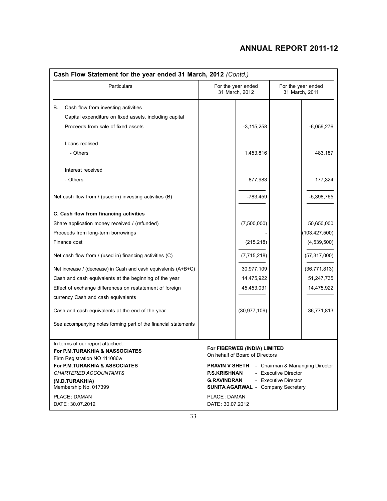| Cash Flow Statement for the year ended 31 March, 2012 (Contd.)                                                                                                                                                            |                                                                                                                                                                                                                                                                       |                                      |  |  |  |
|---------------------------------------------------------------------------------------------------------------------------------------------------------------------------------------------------------------------------|-----------------------------------------------------------------------------------------------------------------------------------------------------------------------------------------------------------------------------------------------------------------------|--------------------------------------|--|--|--|
| Particulars                                                                                                                                                                                                               | For the year ended<br>31 March, 2012                                                                                                                                                                                                                                  | For the year ended<br>31 March, 2011 |  |  |  |
| В.<br>Cash flow from investing activities<br>Capital expenditure on fixed assets, including capital                                                                                                                       |                                                                                                                                                                                                                                                                       |                                      |  |  |  |
| Proceeds from sale of fixed assets                                                                                                                                                                                        | $-3,115,258$                                                                                                                                                                                                                                                          | -6,059,276                           |  |  |  |
| Loans realised                                                                                                                                                                                                            |                                                                                                                                                                                                                                                                       |                                      |  |  |  |
| - Others                                                                                                                                                                                                                  | 1,453,816                                                                                                                                                                                                                                                             | 483,187                              |  |  |  |
| Interest received                                                                                                                                                                                                         |                                                                                                                                                                                                                                                                       |                                      |  |  |  |
| - Others                                                                                                                                                                                                                  | 877,983                                                                                                                                                                                                                                                               | 177,324                              |  |  |  |
| Net cash flow from / (used in) investing activities (B)                                                                                                                                                                   | $-783,459$                                                                                                                                                                                                                                                            | -5,398,765                           |  |  |  |
| C. Cash flow from financing activities                                                                                                                                                                                    |                                                                                                                                                                                                                                                                       |                                      |  |  |  |
| Share application money received / (refunded)                                                                                                                                                                             | (7,500,000)                                                                                                                                                                                                                                                           | 50,650,000                           |  |  |  |
| Proceeds from long-term borrowings                                                                                                                                                                                        |                                                                                                                                                                                                                                                                       | (103, 427, 500)                      |  |  |  |
| Finance cost                                                                                                                                                                                                              | (215, 218)                                                                                                                                                                                                                                                            | (4,539,500)                          |  |  |  |
| Net cash flow from / (used in) financing activities (C)                                                                                                                                                                   | (7,715,218)                                                                                                                                                                                                                                                           | (57, 317, 000)                       |  |  |  |
| Net increase / (decrease) in Cash and cash equivalents (A+B+C)                                                                                                                                                            | 30,977,109                                                                                                                                                                                                                                                            | (36, 771, 813)                       |  |  |  |
| Cash and cash equivalents at the beginning of the year                                                                                                                                                                    | 14,475,922                                                                                                                                                                                                                                                            | 51,247,735                           |  |  |  |
| Effect of exchange differences on restatement of foreign                                                                                                                                                                  | 45,453,031                                                                                                                                                                                                                                                            | 14,475,922                           |  |  |  |
| currency Cash and cash equivalents                                                                                                                                                                                        |                                                                                                                                                                                                                                                                       |                                      |  |  |  |
| Cash and cash equivalents at the end of the year                                                                                                                                                                          | (30, 977, 109)                                                                                                                                                                                                                                                        | 36,771,813                           |  |  |  |
| See accompanying notes forming part of the financial statements                                                                                                                                                           |                                                                                                                                                                                                                                                                       |                                      |  |  |  |
| In terms of our report attached.<br><b>For P.M.TURAKHIA &amp; NASSOCIATES</b><br>Firm Registration NO 111086w<br>For P.M.TURAKHIA & ASSOCIATES<br><b>CHARTERED ACCOUNTANTS</b><br>(M.D.TURAKHIA)<br>Membership No. 017399 | For FIBERWEB (INDIA) LIMITED<br>On hehalf of Board of Directors<br><b>PRAVIN V SHETH</b><br>- Chairman & Mananging Director<br><b>P.S.KRISHNAN</b><br>- Executive Director<br><b>G.RAVINDRAN</b><br>- Executive Director<br><b>SUNITA AGARWAL - Company Secretary</b> |                                      |  |  |  |
| <b>PLACE: DAMAN</b><br>DATE: 30.07.2012                                                                                                                                                                                   | PLACE: DAMAN<br>DATE: 30.07.2012                                                                                                                                                                                                                                      |                                      |  |  |  |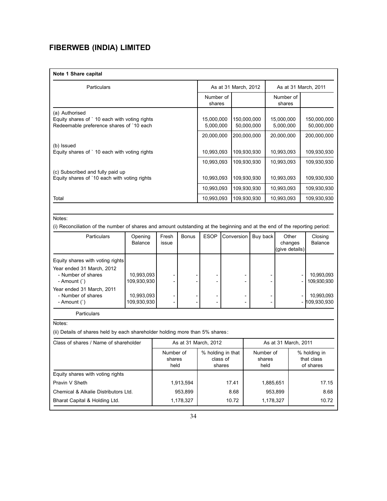| Note 1 Share capital |  |
|----------------------|--|
|----------------------|--|

| Particulars                                   |                     | As at 31 March, 2012 |                     | As at 31 March, 2011 |
|-----------------------------------------------|---------------------|----------------------|---------------------|----------------------|
|                                               | Number of<br>shares |                      | Number of<br>shares |                      |
| (a) Authorised                                |                     |                      |                     |                      |
| Equity shares of 10 each with voting rights   | 15,000,000          | 150,000,000          | 15,000,000          | 150,000,000          |
| Redeemable preference shares of '10 each      | 5,000,000           | 50,000,000           | 5,000,000           | 50,000,000           |
|                                               | 20,000,000          | 200,000,000          | 20,000,000          | 200,000,000          |
| (b) Issued                                    |                     |                      |                     |                      |
| Equity shares of ` 10 each with voting rights | 10,993,093          | 109,930,930          | 10,993,093          | 109,930,930          |
|                                               | 10,993,093          | 109,930,930          | 10,993,093          | 109,930,930          |
| (c) Subscribed and fully paid up              |                     |                      |                     |                      |
| Equity shares of '10 each with voting rights  | 10,993,093          | 109,930,930          | 10,993,093          | 109,930,930          |
|                                               | 10,993,093          | 109,930,930          | 10,993,093          | 109,930,930          |
| Total                                         | 10,993,093          | 109,930,930          | 10,993,093          | 109,930,930          |

#### Notes:

(i) Reconciliation of the number of shares and amount outstanding at the beginning and at the end of the reporting period:

| <b>Particulars</b>                                                 | Opening<br>Balance        | Fresh<br>issue | <b>Bonus</b> | <b>ESOP</b> | Conversion | Buy back | Other<br>changes<br>(give details) | Closing<br>Balance          |
|--------------------------------------------------------------------|---------------------------|----------------|--------------|-------------|------------|----------|------------------------------------|-----------------------------|
| Equity shares with voting rights                                   |                           |                |              |             |            |          |                                    |                             |
| Year ended 31 March, 2012<br>- Number of shares<br>- Amount $($ `) | 10,993,093<br>109,930,930 |                |              |             |            |          |                                    | 10,993,093<br>109,930,930   |
| Year ended 31 March, 2011<br>- Number of shares<br>- Amount $($ `) | 10,993,093<br>109,930,930 | -              |              |             |            |          |                                    | 10,993,093<br>- 109,930,930 |

Particulars

Notes:

(ii) Details of shares held by each shareholder holding more than 5% shares :

| Class of shares / Name of shareholder | As at 31 March, 2012        |                                         | As at 31 March, 2011        |                                         |
|---------------------------------------|-----------------------------|-----------------------------------------|-----------------------------|-----------------------------------------|
|                                       | Number of<br>shares<br>held | % holding in that<br>class of<br>shares | Number of<br>shares<br>held | % holding in<br>that class<br>of shares |
| Equity shares with voting rights      |                             |                                         |                             |                                         |
| Pravin V Sheth                        | 1,913,594                   | 17.41                                   | 1,885,651                   | 17.15                                   |
| Chemical & Alkalie Distributors Ltd.  | 953,899                     | 8.68                                    | 953,899                     | 8.68                                    |
| Bharat Capital & Holding Ltd.         | 1,178,327                   | 10.72                                   | 1,178,327                   | 10.72                                   |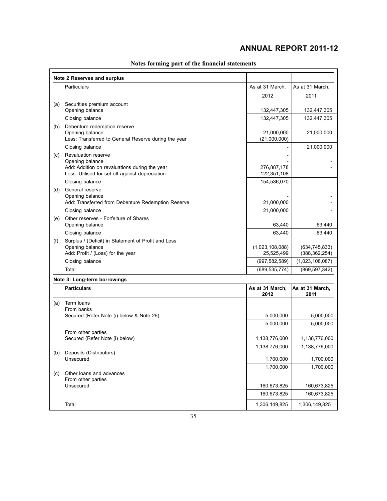|     | Note 2 Reserves and surplus                                                                                 |                               |                                    |
|-----|-------------------------------------------------------------------------------------------------------------|-------------------------------|------------------------------------|
|     | Particulars                                                                                                 | As at 31 March,               | As at 31 March,                    |
|     |                                                                                                             | 2012                          | 2011                               |
| (a) | Securities premium account                                                                                  |                               |                                    |
|     | Opening balance                                                                                             | 132,447,305                   | 132,447,305                        |
|     | Closing balance                                                                                             | 132,447,305                   | 132,447,305                        |
| (b) | Debenture redemption reserve<br>Opening balance<br>Less: Transferred to General Reserve during the year     | 21,000,000<br>(21,000,000)    | 21,000,000                         |
|     | Closing balance                                                                                             |                               | 21,000,000                         |
| (c) | <b>Revaluation reserve</b><br>Opening balance<br>Add: Addition on revaluations during the year              | 276,887,178                   |                                    |
|     | Less: Utilised for set off against depreciation                                                             | 122,351,108                   |                                    |
|     | Closing balance                                                                                             | 154,536,070                   |                                    |
| (d) | General reserve<br>Opening balance                                                                          |                               |                                    |
|     | Add: Transferred from Debenture Redemption Reserve<br>Closing balance                                       | 21,000,000<br>21,000,000      |                                    |
| (e) | Other reserves - Forfeiture of Shares                                                                       |                               |                                    |
|     | Opening balance                                                                                             | 63,440                        | 63,440                             |
|     | Closing balance                                                                                             | 63,440                        | 63,440                             |
| (f) | Surplus / (Deficit) in Statement of Profit and Loss<br>Opening balance<br>Add: Profit / (Loss) for the year | (1,023,108,088)<br>25,525,499 | (634, 745, 833)<br>(388, 362, 254) |
|     | Closing balance                                                                                             | (997, 582, 589)               | (1,023,108,087)                    |
|     | Total                                                                                                       | (689, 535, 774)               | (869, 597, 342)                    |
|     | Note 3: Long-term borrowings                                                                                |                               |                                    |
|     | <b>Particulars</b>                                                                                          | As at 31 March,<br>2012       | As at 31 March,<br>2011            |
| (a) | Term loans                                                                                                  |                               |                                    |
|     | From banks<br>Secured (Refer Note (i) below & Note 26)                                                      | 5,000,000                     | 5,000,000                          |
|     |                                                                                                             | 5,000,000                     | 5,000,000                          |
|     | From other parties                                                                                          |                               |                                    |
|     | Secured (Refer Note (i) below)                                                                              | 1,138,776,000                 | 1,138,776,000                      |
|     |                                                                                                             | 1,138,776,000                 | 1,138,776,000                      |
|     | (b) Deposits (Distributors)<br>Unsecured                                                                    | 1,700,000                     | 1,700,000                          |
|     |                                                                                                             | 1,700,000                     | 1,700,000                          |
| (c) | Other loans and advances                                                                                    |                               |                                    |
|     | From other parties                                                                                          |                               |                                    |
|     | Unsecured                                                                                                   | 160,673,825<br>160,673,825    | 160,673,825<br>160,673,825         |
|     |                                                                                                             |                               |                                    |
|     | Total                                                                                                       | 1,306,149,825                 | 1,306,149,825                      |

## **Notes forming part of the financial statements**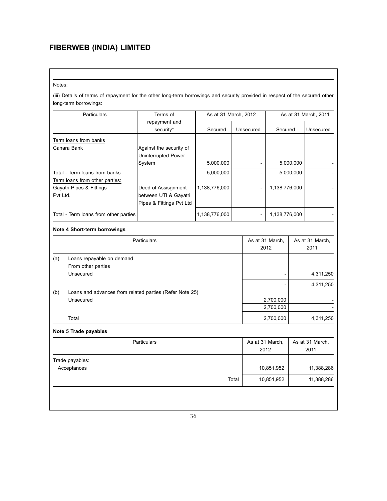Notes:

(iii) Details of terms of repayment for the other long-term borrowings and security provided in respect of the secured other long-term borrowings:

|                    | Particulars                                                          | Terms of                                                                 | As at 31 March, 2012 |       |                          |                         |                         | As at 31 March, 2011    |
|--------------------|----------------------------------------------------------------------|--------------------------------------------------------------------------|----------------------|-------|--------------------------|-------------------------|-------------------------|-------------------------|
|                    |                                                                      | repayment and<br>security*                                               | Secured              |       | Unsecured                | Secured                 |                         | Unsecured               |
|                    | Term loans from banks<br>Canara Bank                                 | Against the security of<br>Uninterrupted Power<br>System                 | 5,000,000            |       |                          |                         | 5,000,000               |                         |
|                    | Total - Term Ioans from banks                                        |                                                                          | 5,000,000            |       |                          |                         | 5,000,000               |                         |
|                    | Term loans from other parties:                                       |                                                                          |                      |       |                          |                         |                         |                         |
| Pvt Ltd.           | Gayatri Pipes & Fittings                                             | Deed of Assisgnment<br>between UTI & Gayatri<br>Pipes & Fittings Pvt Ltd | 1,138,776,000        |       |                          | 1,138,776,000           |                         |                         |
|                    | Total - Term loans from other parties                                |                                                                          | 1,138,776,000        |       | $\overline{\phantom{a}}$ | 1,138,776,000           |                         |                         |
|                    | Note 4 Short-term borrowings                                         |                                                                          |                      |       |                          |                         |                         |                         |
| <b>Particulars</b> |                                                                      |                                                                          |                      |       |                          | As at 31 March,<br>2012 | As at 31 March,<br>2011 |                         |
| (a)                | Loans repayable on demand<br>From other parties<br>Unsecured         |                                                                          |                      |       |                          |                         |                         | 4,311,250<br>4,311,250  |
| (b)                | Loans and advances from related parties (Refer Note 25)<br>Unsecured |                                                                          |                      |       |                          | 2,700,000<br>2,700,000  |                         |                         |
|                    | Total                                                                |                                                                          |                      |       |                          | 2,700,000               |                         | 4,311,250               |
|                    | Note 5 Trade payables                                                |                                                                          |                      |       |                          |                         |                         |                         |
|                    |                                                                      | <b>Particulars</b>                                                       |                      |       | As at 31 March,<br>2012  |                         |                         | As at 31 March,<br>2011 |
|                    | Trade payables:<br>Acceptances                                       |                                                                          |                      |       |                          | 10,851,952              |                         | 11,388,286              |
|                    |                                                                      |                                                                          |                      | Total |                          | 10,851,952              |                         | 11,388,286              |
|                    |                                                                      |                                                                          |                      |       |                          |                         |                         |                         |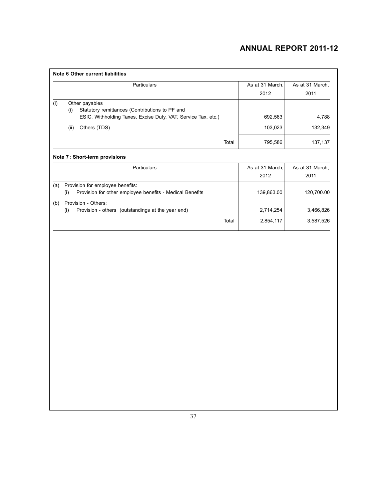| Note 6 Other current liabilities                                                                                                                                                 |                               |                             |
|----------------------------------------------------------------------------------------------------------------------------------------------------------------------------------|-------------------------------|-----------------------------|
| Particulars                                                                                                                                                                      | As at 31 March,<br>2012       | As at 31 March,<br>2011     |
| (i)<br>Other payables<br>Statutory remittances (Contributions to PF and<br>(i)<br>ESIC, Withholding Taxes, Excise Duty, VAT, Service Tax, etc.)<br>Others (TDS)<br>(ii)<br>Total | 692,563<br>103,023<br>795,586 | 4,788<br>132,349<br>137,137 |
| Note 7: Short-term provisions                                                                                                                                                    |                               |                             |
| Particulars                                                                                                                                                                      | As at 31 March,<br>2012       | As at 31 March,<br>2011     |
| Provision for employee benefits:<br>(a)<br>Provision for other employee benefits - Medical Benefits<br>(i)                                                                       | 139,863.00                    | 120,700.00                  |
| Provision - Others:<br>(b)<br>Provision - others (outstandings at the year end)<br>(i)<br>Total                                                                                  | 2,714,254<br>2,854,117        | 3,466,826<br>3,587,526      |
|                                                                                                                                                                                  |                               |                             |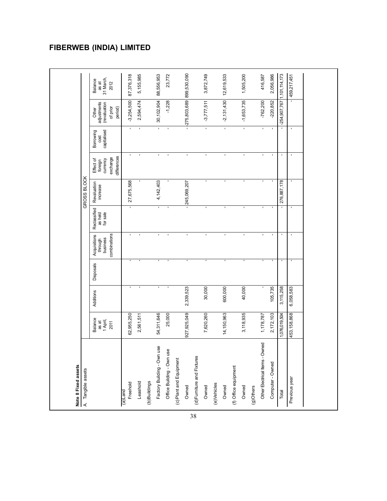#### 23,772 416,587 87,376,318 5,155,985 30,102,904 88,556,953 275,803,689 899,530,090 3,872,749 12,619,533 1,505,200 2,056,986  $1,101,114,173$ Total 1,076,019,504 3,115,258 - - - 276,887,178 - - -254,907,767 1,101,114,173 Previous year 453,158,868 6,058,583 - - - - - - - 459,217,451 Owned 927,925,049 2,339,523 - - - 245,069,207 - - -275,803,689 899,530,090 Freehold 62,955,250 - - - - 27,675,568 - - -3,254,500 87,376,318 Leashold 2,561,511 - - - - - - 2,594,474 5,155,985 Factory Building - Own use 54,311,646 - - - - 4,142,403 - - 30,102,904 88,556,953 Office Building - Own use 25,000 - - - - - - - -1,228 23,772 Owned 7,620,260 30,000 - - - - - - -3,777,511 3,872,749 Owned 14,150,963 600,000 - - - - - - -2,131,430 12,619,533 Owned 3,118,935 40,000 - - - - - - -1,653,735 1,505,200 Other Electrical Items - Owned 1,178,787 - - - - - - - -762,200 416,587 Computer - Owned 2,172,103 105,735 - - - - - - -220,852 2,056,986 459,217,451 Balance<br>as at<br>31 March, 1 April, content currency capitalised currency capitalises of sales (revaluation 31 March, content of the content of the content of the content of the content of the content of the content of the content of the content of Balance | Additions | Disposals Acquisitions | Reclassified | Reclassified | Effect of Borrowing | Other | Balance 2012 to as at through as a held increase foreign cost as a service for a service for a service for a service for a<br>Through a service for a service for a service for a service for a service for a service for a service for a se 2010 combinations in the prior exchange of prior and prior exchange of prior and prior exchange of prior 2012 combinations of prior exchange of prior exchange of prior exchange of prior exchange of prior exchange of prior  $-762,200$  $-1,228$ Other<br>adjustments<br>(revaluation  $-3,254,500$ 2,594,474  $-3,777,511$  $-2,131,430$  $-1,653,735$  $-220,852$  $-254,907,767$ of prior period) differences | period) Borrowing<br>cost<br>capitalised т т т Τ Effect of<br>foreign<br>currency<br>exchange<br>differences GROSS BLOCK A. Tangible assets  $\blacksquare$ 4, 142, 403 276,887,178 Revaluation<br>
increase 27,675,568 245,069,207 Reclassified<br>as held<br>for sale Acquisitions<br>through<br>business<br>combinations  $\mathbf{I}$  $\mathbf{I}$  $\mathbf{I}$  $\mathbf{r}$  $\mathbf{r}$  $\mathbf{I}$ **Disposals**  $105,735$ 30,000 600,000 40,000 2,339,523  $3,115,258$ 6,058,583 Additions 927,925,049 25,000 2,172,103 62,955,250 54,311,646 7,620,260 14,150,963 3,118,935 1,178,787 1,076,019,504 453,158,868 2,561,511 Balance<br>as at<br>1 April,<br>2011 Other Electrical Items - Owned Factory Building - Own use Office Building - Own use (d)Furniture and Fixtures (d)Furniture and Fixtures (c) Plant and Equipment (c)Plant and Equipment Computer - Owned Note 8 Fixed assets (f) Office equipment **Note 8 Fixed assets** (f) Office equipment A. Tangible assets Previous year (b)Buildings Leashold Freehold (b)Buildings e)Vehicles Owned Owned (e)Vehicles Owned Owned (g)Others Total (a)Land

### **Fiberweb ( India) Limited**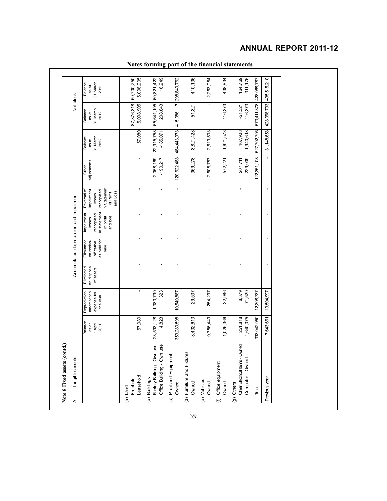| Depreciation<br>amortisation<br>expense for<br>Balance<br>1 April,<br>as at                                  |                                        |                              |                                                               | Accumulated depreciation and impairment                                     |                                                                                            |                            |                                       | Net block                             |                                       |
|--------------------------------------------------------------------------------------------------------------|----------------------------------------|------------------------------|---------------------------------------------------------------|-----------------------------------------------------------------------------|--------------------------------------------------------------------------------------------|----------------------------|---------------------------------------|---------------------------------------|---------------------------------------|
| the year<br>2011                                                                                             | on disposal<br>Eliminated<br>of assets |                              | as held for<br>Eliminated<br>on reclas-<br>sification<br>sale | in statement<br>Impairment<br>recognised<br>and loss<br>of profit<br>losses | in Statement<br>Reversal of<br>impairment<br>recognised<br>and Loss<br>of Profit<br>losses | adjustments<br>Other       | 31 March,<br>Balance<br>as at<br>2012 | 31 March,<br>Balance<br>as at<br>2012 | 31 March,<br>Balance<br>as at<br>2011 |
| 57,080<br>Leasehold<br>Freehold<br>(a) Land                                                                  | $\blacksquare$<br>$\blacksquare$       | $\mathbf{I}$<br>$\mathbf{I}$ | ٠<br>J.                                                       | $\mathbf{r} = -\mathbf{r}$                                                  | $\mathbf{I}$<br>$\mathbf{r}$                                                               | Ţ                          | 57,080                                | 87,376,318<br>5,098,905               | 59,700,750<br>5,098,905               |
| 1,380,799<br>23,593,128<br>4,823<br>Factory Building - Own use<br>Office Building - Own use<br>(b) Buildings | 323                                    | $\mathbf{I}$<br>T.           | $\blacksquare$<br>1                                           | $\mathbf{u}$<br>$\mathbf{I}$                                                | $\,$<br>$\mathbf{I}$                                                                       | $-2,058,169$<br>$-190,217$ | 22,915,758<br>$-185,071$              | 65,641,195<br>208,843                 | 18,949<br>60,821,422                  |
| 10,540,887<br>353,280,598<br>Plant and Equipment<br>Owned<br>$\odot$                                         |                                        | $\blacksquare$               | ٠                                                             | $\blacksquare$                                                              | $\mathbf{r}$                                                                               | 120,622,488                | 484,443,973 415,086,117 298,840,762   |                                       |                                       |
| 3,432,613<br>(d) Furniture and Fixtures<br>Owned                                                             | 29,537                                 | $\blacksquare$               | ٠                                                             | $\mathbf{r}$                                                                | $\mathbf{r}$                                                                               | 359,278                    | 3,821,428                             | 51,321                                | 410,136                               |
| 9,756,449<br>(e) Vehicles<br>Owned                                                                           | 254,297                                | $\mathbf{I}$                 | ٠                                                             | $\mathbf{r}$                                                                | $\mathbf{r}$                                                                               | 2,608,787                  | 12,619,533                            |                                       | 2,263,084                             |
| 1,026,366<br>(f) Office equipment<br>Owned                                                                   | 22,986                                 |                              | f,                                                            | $\mathbf{r}$                                                                | $\mathbf{r}$                                                                               | 572,221                    | 1,621,573                             | $-116,373$                            | 438,834                               |
| 251,818<br>1,640,075<br>Other Electrical Items - Owned<br>Computer - Owned<br>(g) Others                     | 8,379<br>71,529                        | $\blacksquare$               | J.                                                            | $\blacksquare$<br>$\mathbf{I}$                                              | $\blacksquare$<br>$\mathbf{I}$                                                             | 229,009<br>207,711         | 467,908<br>1,940,613                  | 116,373<br>$-51,321$                  | 164,769<br>311,176                    |
| 12,308,737<br>393,042,950<br>Total                                                                           |                                        |                              | ٠                                                             | $\blacksquare$                                                              |                                                                                            | 122,351,108                | 527,702,795                           | 573,411,378                           | 428,068,787                           |
| 13,504,997<br>17,643,661<br>Previous year                                                                    |                                        |                              |                                                               | ı                                                                           |                                                                                            |                            | 31,148,658                            | 428,068,793                           | 435,515,210                           |

## **Notes forming part of the financial statements**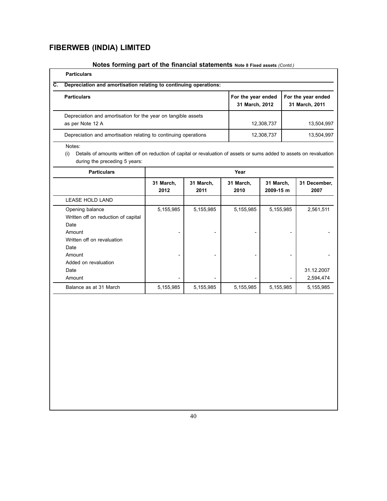## **Notes forming part of the financial statements Note 8 Fixed assets** *(Contd.)*

| С. | <b>Particulars</b><br>Depreciation and amortisation relating to continuing operations: |                                      |                                      |
|----|----------------------------------------------------------------------------------------|--------------------------------------|--------------------------------------|
|    | <b>Particulars</b>                                                                     | For the year ended<br>31 March, 2012 | For the year ended<br>31 March, 2011 |
|    | Depreciation and amortisation for the year on tangible assets<br>as per Note 12 A      | 12,308,737                           | 13,504,997                           |
|    | Depreciation and amortisation relating to continuing operations                        | 12,308,737                           | 13,504,997                           |

Notes:

| <b>Particulars</b>                                                                                                                               | Year              |                   |                   |                        |                         |  |  |  |
|--------------------------------------------------------------------------------------------------------------------------------------------------|-------------------|-------------------|-------------------|------------------------|-------------------------|--|--|--|
|                                                                                                                                                  | 31 March,<br>2012 | 31 March,<br>2011 | 31 March,<br>2010 | 31 March,<br>2009-15 m | 31 December,<br>2007    |  |  |  |
| <b>LEASE HOLD LAND</b>                                                                                                                           |                   |                   |                   |                        |                         |  |  |  |
| Opening balance<br>Written off on reduction of capital<br>Date<br>Amount<br>Written off on revaluation<br>Date<br>Amount<br>Added on revaluation | 5,155,985         | 5,155,985         | 5,155,985         | 5,155,985              | 2,561,511               |  |  |  |
| Date<br>Amount                                                                                                                                   |                   |                   |                   |                        | 31.12.2007<br>2,594,474 |  |  |  |
| Balance as at 31 March                                                                                                                           | 5,155,985         | 5,155,985         | 5,155,985         | 5,155,985              | 5,155,985               |  |  |  |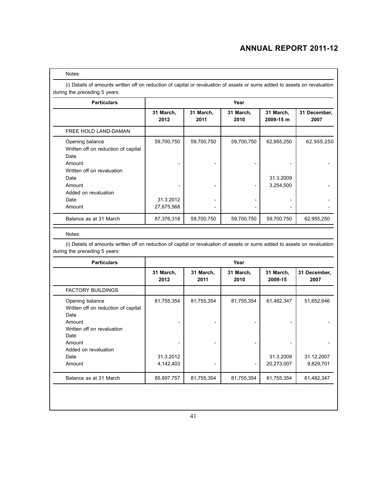#### Notes:

(i) Details of amounts written off on reduction of capital or revaluation of assets or sums added to assets on revaluation during the preceding 5 years:

| <b>Particulars</b>                                                                                                                                                 |                                       |                   | Year              |                                      |                      |
|--------------------------------------------------------------------------------------------------------------------------------------------------------------------|---------------------------------------|-------------------|-------------------|--------------------------------------|----------------------|
|                                                                                                                                                                    | 31 March,<br>2012                     | 31 March,<br>2011 | 31 March,<br>2010 | 31 March,<br>2009-15 m               | 31 December,<br>2007 |
| FREE HOLD LAND-DAMAN                                                                                                                                               |                                       |                   |                   |                                      |                      |
| Opening balance<br>Written off on reduction of capital<br>Date<br>Amount<br>Written off on revaluation<br>Date<br>Amount<br>Added on revaluation<br>Date<br>Amount | 59,700,750<br>31.3.2012<br>27,675,568 | 59,700,750        | 59,700,750        | 62,955,250<br>31.3.2009<br>3,254,500 | 62,955,250           |
| Balance as at 31 March                                                                                                                                             | 87,376,318                            | 59,700,750        | 59,700,750        | 59,700,750                           | 62,955,250           |

#### Notes:

| <b>Particulars</b>                                                                                                                                                 | Year                                 |                              |                   |                                       |                                       |  |  |
|--------------------------------------------------------------------------------------------------------------------------------------------------------------------|--------------------------------------|------------------------------|-------------------|---------------------------------------|---------------------------------------|--|--|
|                                                                                                                                                                    | 31 March,<br>2012                    | 31 March,<br>2011            | 31 March,<br>2010 | 31 March,<br>2009-15                  | 31 December,<br>2007                  |  |  |
| <b>FACTORY BUILDINGS</b>                                                                                                                                           |                                      |                              |                   |                                       |                                       |  |  |
| Opening balance<br>Written off on reduction of capital<br>Date<br>Amount<br>Written off on revaluation<br>Date<br>Amount<br>Added on revaluation<br>Date<br>Amount | 81,755,354<br>31.3.2012<br>4,142,403 | 81,755,354<br>$\overline{a}$ | 81,755,354        | 61,482,347<br>31.3.2009<br>20,273,007 | 51,652,646<br>31.12.2007<br>9,829,701 |  |  |
| Balance as at 31 March                                                                                                                                             | 85,897,757                           | 81,755,354                   | 81,755,354        | 81,755,354                            | 61,482,347                            |  |  |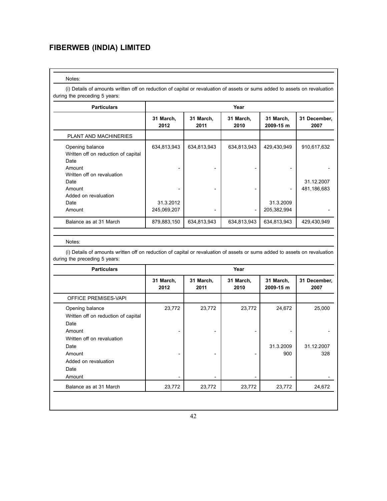#### Notes:

1

(i) Details of amounts written off on reduction of capital or revaluation of assets or sums added to assets on revaluation during the preceding 5 years:

| <b>Particulars</b>                                                                                                                                                 | Year                                    |                   |                   |                                         |                                          |  |  |
|--------------------------------------------------------------------------------------------------------------------------------------------------------------------|-----------------------------------------|-------------------|-------------------|-----------------------------------------|------------------------------------------|--|--|
|                                                                                                                                                                    | 31 March,<br>2012                       | 31 March,<br>2011 | 31 March,<br>2010 |                                         | 31 December,<br>2007                     |  |  |
| <b>PLANT AND MACHINERIES</b>                                                                                                                                       |                                         |                   |                   |                                         |                                          |  |  |
| Opening balance<br>Written off on reduction of capital<br>Date<br>Amount<br>Written off on revaluation<br>Date<br>Amount<br>Added on revaluation<br>Date<br>Amount | 634,813,943<br>31.3.2012<br>245,069,207 | 634,813,943       | 634,813,943       | 429,430,949<br>31.3.2009<br>205,382,994 | 910,617,632<br>31.12.2007<br>481,186,683 |  |  |
| Balance as at 31 March                                                                                                                                             | 879,883,150                             | 634,813,943       | 634,813,943       | 634,813,943                             | 429,430,949                              |  |  |

#### Notes:

| <b>Particulars</b>                                             | Year                     |                   |                   |                        |                      |  |  |
|----------------------------------------------------------------|--------------------------|-------------------|-------------------|------------------------|----------------------|--|--|
|                                                                | 31 March,<br>2012        | 31 March,<br>2011 | 31 March,<br>2010 | 31 March,<br>2009-15 m | 31 December,<br>2007 |  |  |
| <b>OFFICE PREMISES-VAPI</b>                                    |                          |                   |                   |                        |                      |  |  |
| Opening balance<br>Written off on reduction of capital<br>Date | 23,772                   | 23,772            | 23,772            | 24,672                 | 25,000               |  |  |
| Amount<br>Written off on revaluation<br>Date                   |                          |                   |                   | 31.3.2009              | 31.12.2007           |  |  |
| Amount<br>Added on revaluation                                 | $\overline{\phantom{0}}$ |                   |                   | 900                    | 328                  |  |  |
| Date<br>Amount                                                 |                          |                   | -                 |                        |                      |  |  |
| Balance as at 31 March                                         | 23,772                   | 23,772            | 23,772            | 23,772                 | 24,672               |  |  |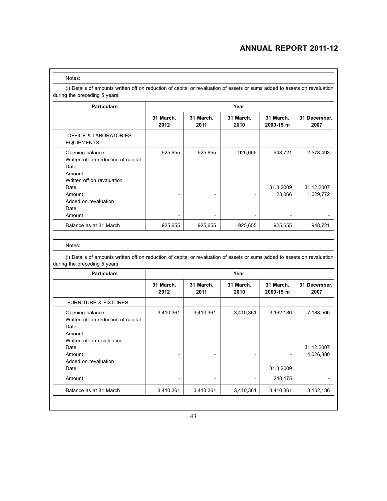| Notes: |
|--------|
|--------|

(i) Details of amounts written off on reduction of capital or revaluation of assets or sums added to assets on revaluation during the preceding 5 years:

| <b>Particulars</b>                                                       | Year              |                   |                   |                        |                         |  |  |
|--------------------------------------------------------------------------|-------------------|-------------------|-------------------|------------------------|-------------------------|--|--|
|                                                                          | 31 March,<br>2012 | 31 March,<br>2011 | 31 March,<br>2010 | 31 March,<br>2009-15 m | 31 December,<br>2007    |  |  |
| <b>OFFICE &amp; LABORATORIES</b><br><b>EQUIPMENTS</b>                    |                   |                   |                   |                        |                         |  |  |
| Opening balance<br>Written off on reduction of capital<br>Date<br>Amount | 925,655           | 925,655           | 925,655           | 948,721                | 2,578,493               |  |  |
| Written off on revaluation<br>Date<br>Amount                             |                   |                   |                   | 31.3.2009<br>23,066    | 31.12.2007<br>1,629,772 |  |  |
| Added on revaluation<br>Date<br>Amount                                   |                   |                   |                   |                        |                         |  |  |
| Balance as at 31 March                                                   | 925,655           | 925,655           | 925,655           | 925,655                | 948,721                 |  |  |

Notes:

| <b>Particulars</b>                                                                                                                               | Year              |                          |                   |                        |                                      |  |  |  |
|--------------------------------------------------------------------------------------------------------------------------------------------------|-------------------|--------------------------|-------------------|------------------------|--------------------------------------|--|--|--|
|                                                                                                                                                  | 31 March,<br>2012 | 31 March,<br>2011        | 31 March,<br>2010 | 31 March,<br>2009-15 m | 31 December,<br>2007                 |  |  |  |
| <b>FURNITURE &amp; FIXTURES</b>                                                                                                                  |                   |                          |                   |                        |                                      |  |  |  |
| Opening balance<br>Written off on reduction of capital<br>Date<br>Amount<br>Written off on revaluation<br>Date<br>Amount<br>Added on revaluation | 3,410,361         | 3,410,361                | 3,410,361         | 3,162,186              | 7,188,566<br>31.12.2007<br>4,026,380 |  |  |  |
| Date                                                                                                                                             |                   |                          |                   | 31.3.2009              |                                      |  |  |  |
| Amount                                                                                                                                           |                   | $\overline{\phantom{0}}$ |                   | 248,175                |                                      |  |  |  |
| Balance as at 31 March                                                                                                                           | 3,410,361         | 3,410,361                | 3,410,361         | 3,410,361              | 3,162,186                            |  |  |  |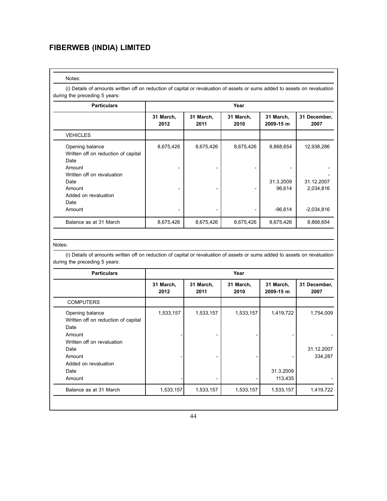#### Notes:

(i) Details of amounts written off on reduction of capital or revaluation of assets or sums added to assets on revaluation during the preceding 5 years:

| <b>Particulars</b>                                                                                                                                       | Year              |                   |                   |                                  |                                       |  |  |  |
|----------------------------------------------------------------------------------------------------------------------------------------------------------|-------------------|-------------------|-------------------|----------------------------------|---------------------------------------|--|--|--|
|                                                                                                                                                          | 31 March,<br>2012 | 31 March,<br>2011 | 31 March,<br>2010 | 31 March,<br>2009-15 m           | 31 December,<br>2007                  |  |  |  |
| <b>VEHICLES</b>                                                                                                                                          |                   |                   |                   |                                  |                                       |  |  |  |
| Opening balance<br>Written off on reduction of capital<br>Date<br>Amount<br>Written off on revaluation<br>Date<br>Amount<br>Added on revaluation<br>Date | 8,675,426         | 8,675,426         | 8,675,426         | 8,868,654<br>31.3.2009<br>96,614 | 12,938,286<br>31.12.2007<br>2,034,816 |  |  |  |
| Amount                                                                                                                                                   |                   |                   |                   | $-96,614$                        | $-2,034,816$                          |  |  |  |
| Balance as at 31 March                                                                                                                                   | 8,675,426         | 8,675,426         | 8,675,426         | 8,675,426                        | 8,868,654                             |  |  |  |

#### Notes:

| <b>Particulars</b>                                                       | Year                                   |           |                   |                        |                       |  |  |
|--------------------------------------------------------------------------|----------------------------------------|-----------|-------------------|------------------------|-----------------------|--|--|
|                                                                          | 31 March,<br>31 March,<br>2012<br>2011 |           | 31 March,<br>2010 | 31 March,<br>2009-15 m | 31 December,<br>2007  |  |  |
| <b>COMPUTERS</b>                                                         |                                        |           |                   |                        |                       |  |  |
| Opening balance<br>Written off on reduction of capital<br>Date<br>Amount | 1,533,157                              | 1,533,157 | 1,533,157         | 1,419,722              | 1,754,009             |  |  |
| Written off on revaluation<br>Date<br>Amount                             |                                        |           |                   |                        | 31.12.2007<br>334,287 |  |  |
| Added on revaluation<br>Date<br>Amount                                   |                                        |           |                   | 31.3.2009<br>113,435   |                       |  |  |
| Balance as at 31 March                                                   | 1,533,157                              | 1,533,157 | 1,533,157         | 1,533,157              | 1,419,722             |  |  |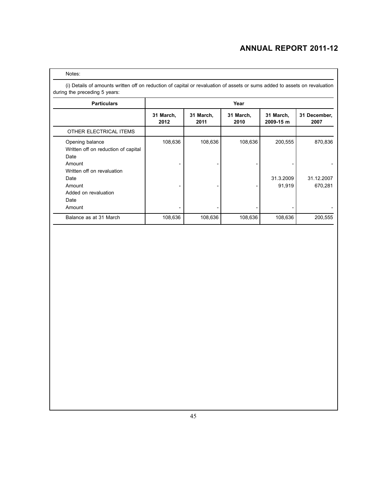#### Notes:

| <b>Particulars</b>                                                           | Year              |                   |                   |                        |                       |  |  |  |
|------------------------------------------------------------------------------|-------------------|-------------------|-------------------|------------------------|-----------------------|--|--|--|
|                                                                              | 31 March,<br>2012 | 31 March,<br>2011 | 31 March,<br>2010 | 31 March,<br>2009-15 m | 31 December,<br>2007  |  |  |  |
| OTHER ELECTRICAL ITEMS                                                       |                   |                   |                   |                        |                       |  |  |  |
| Opening balance<br>Written off on reduction of capital<br>Date<br>Amount     | 108,636           | 108,636           | 108,636           | 200,555                | 870,836               |  |  |  |
| Written off on revaluation<br>Date<br>Amount<br>Added on revaluation<br>Date |                   |                   |                   | 31.3.2009<br>91,919    | 31.12.2007<br>670,281 |  |  |  |
| Amount                                                                       |                   |                   |                   |                        |                       |  |  |  |
| Balance as at 31 March                                                       | 108,636           | 108,636           | 108,636           | 108,636                | 200,555               |  |  |  |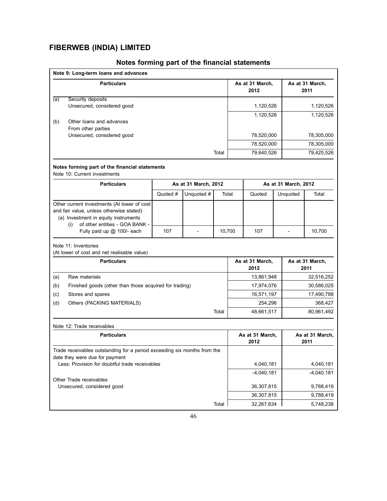| Note 9: Long-term loans and advances                                                                                                                                     |          |                      |        |            |                         |                      |                         |  |
|--------------------------------------------------------------------------------------------------------------------------------------------------------------------------|----------|----------------------|--------|------------|-------------------------|----------------------|-------------------------|--|
| <b>Particulars</b>                                                                                                                                                       |          |                      |        |            | As at 31 March,<br>2012 |                      | As at 31 March,<br>2011 |  |
| Security deposits<br>(a)                                                                                                                                                 |          |                      |        |            |                         |                      |                         |  |
| Unsecured, considered good                                                                                                                                               |          |                      |        |            | 1,120,526               |                      | 1,120,526               |  |
| Other loans and advances<br>(b)<br>From other parties                                                                                                                    |          |                      |        |            | 1,120,526               |                      | 1,120,526               |  |
| Unsecured, considered good                                                                                                                                               |          |                      |        |            | 78,520,000              |                      | 78,305,000              |  |
|                                                                                                                                                                          |          |                      |        |            | 78,520,000              |                      | 78,305,000              |  |
|                                                                                                                                                                          |          |                      | Total  |            | 79,640,526              |                      | 79,425,526              |  |
| Notes forming part of the financial statements<br>Note 10: Current investments                                                                                           |          |                      |        |            |                         |                      |                         |  |
| <b>Particulars</b>                                                                                                                                                       |          | As at 31 March, 2012 |        |            |                         | As at 31 March, 2012 |                         |  |
|                                                                                                                                                                          | Quoted # | Unquoted #           | Total  |            | Quoted                  | Unquoted             | Total                   |  |
| Other current investments (At lower of cost<br>and fair value, unless otherwise stated)<br>(a) Investment in equity instruments<br>of other entities - GOA BANK -<br>(i) |          |                      |        |            |                         |                      |                         |  |
| Fully paid up @ 100/- each                                                                                                                                               | 107      | $\overline{a}$       | 10,700 |            | 107                     | $\overline{a}$       | 10,700                  |  |
| Note 11: Inventories<br>(At lower of cost and net realisable value)                                                                                                      |          |                      |        |            |                         |                      |                         |  |
| <b>Particulars</b>                                                                                                                                                       |          |                      |        |            | As at 31 March,<br>2012 |                      | As at 31 March,<br>2011 |  |
| Raw materials<br>(a)                                                                                                                                                     |          |                      |        |            | 13,861,948              |                      | 32,516,252              |  |
| Finished goods (other than those acquired for trading)<br>(b)                                                                                                            |          |                      |        | 17,974,076 |                         |                      | 30,586,025              |  |
| Stores and spares<br>(c)                                                                                                                                                 |          |                      |        |            | 16,571,197              |                      | 17,490,788              |  |
| (d)<br>Others (PACKING MATERIALS)                                                                                                                                        |          |                      |        |            | 254,296                 |                      | 368,427                 |  |
|                                                                                                                                                                          |          |                      | Total  |            | 48,661,517              |                      | 80,961,492              |  |
| Note 12: Trade receivables                                                                                                                                               |          |                      |        |            |                         |                      |                         |  |
| <b>Particulars</b>                                                                                                                                                       |          |                      |        |            | As at 31 March,<br>2012 |                      | As at 31 March,<br>2011 |  |
| Trade receivables outstanding for a period exceeding six months from the<br>date they were due for payment                                                               |          |                      |        |            |                         |                      |                         |  |
| Less: Provision for doubtful trade receivables                                                                                                                           |          |                      |        |            | 4,040,181               |                      | 4,040,181               |  |
| Other Trade receivables                                                                                                                                                  |          |                      |        |            | $-4,040,181$            |                      | $-4,040,181$            |  |
| Unsecured, considered good                                                                                                                                               |          |                      |        |            | 36,307,815              |                      | 9,788,419               |  |
|                                                                                                                                                                          |          |                      |        |            | 36,307,815              |                      | 9,788,419               |  |
|                                                                                                                                                                          |          |                      | Total  |            | 32,267,634              |                      | 5,748,238               |  |

## **Notes forming part of the financial statements**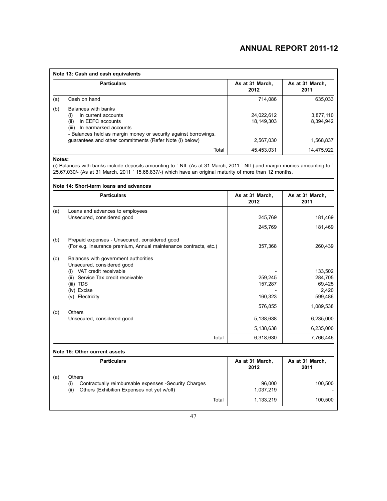| Note 13: Cash and cash equivalents |                                                                                                                                                                                                                                               |                                       |                                     |  |
|------------------------------------|-----------------------------------------------------------------------------------------------------------------------------------------------------------------------------------------------------------------------------------------------|---------------------------------------|-------------------------------------|--|
|                                    | <b>Particulars</b>                                                                                                                                                                                                                            | As at 31 March.<br>2012               | As at 31 March,<br>2011             |  |
| (a)                                | Cash on hand                                                                                                                                                                                                                                  | 714.086                               | 635,033                             |  |
| (b)                                | Balances with banks<br>In current accounts<br>(i)<br>(ii)<br>In EEFC accounts<br>(iii)<br>In earmarked accounts<br>- Balances held as margin money or security against borrowings,<br>quarantees and other commitments (Refer Note (i) below) | 24,022,612<br>18.149.303<br>2,567,030 | 3.877.110<br>8.394.942<br>1,568,837 |  |
|                                    | Total                                                                                                                                                                                                                                         | 45,453,031                            | 14.475.922                          |  |

#### **Notes:**

(i) Balances with banks include deposits amounting to ` NIL (As at 31 March, 2011 ` NIL) and margin monies amounting to ` 25,67,030/- (As at 31 March, 2011 ` 15,68,837/-) which have an original maturity of more than 12 months.

|     | <b>Particulars</b>                                                                                                 | As at 31 March,<br>2012 | As at 31 March,<br>2011 |
|-----|--------------------------------------------------------------------------------------------------------------------|-------------------------|-------------------------|
| (a) | Loans and advances to employees                                                                                    |                         |                         |
|     | Unsecured, considered good                                                                                         | 245,769                 | 181,469                 |
|     |                                                                                                                    | 245,769                 | 181,469                 |
| (b) | Prepaid expenses - Unsecured, considered good                                                                      |                         |                         |
|     | (For e.g. Insurance premium, Annual maintenance contracts, etc.)                                                   | 357,368                 | 260,439                 |
| (c) | Balances with government authorities<br>Unsecured, considered good                                                 |                         |                         |
|     | VAT credit receivable<br>(i)                                                                                       |                         | 133,502                 |
|     | (ii) Service Tax credit receivable                                                                                 | 259,245                 | 284,705                 |
|     | (iii) TDS<br>(iv) Excise                                                                                           | 157,287                 | 69,425<br>2,420         |
|     | Electricity<br>(V)                                                                                                 | 160,323                 | 599,486                 |
|     |                                                                                                                    | 576,855                 | 1,089,538               |
| (d) | Others<br>Unsecured, considered good                                                                               | 5,138,638               | 6,235,000               |
|     |                                                                                                                    | 5,138,638               | 6,235,000               |
|     | Total                                                                                                              | 6,318,630               | 7,766,446               |
|     | Note 15: Other current assets                                                                                      |                         |                         |
|     | <b>Particulars</b>                                                                                                 | As at 31 March,<br>2012 | As at 31 March,<br>2011 |
| (a) | <b>Others</b>                                                                                                      |                         |                         |
|     | Contractually reimbursable expenses -Security Charges<br>(i)<br>Others (Exhibition Expenses not yet w/off)<br>(ii) | 96,000<br>1,037,219     | 100,500                 |
|     | Total                                                                                                              | 1,133,219               | 100,500                 |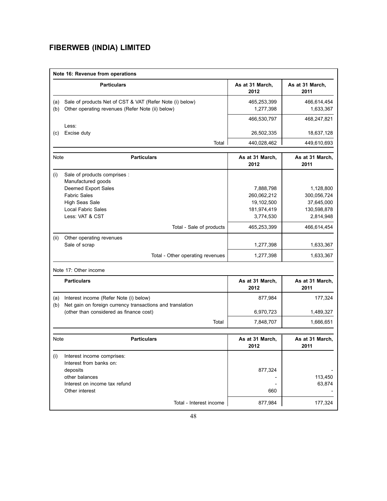|            | Note 16: Revenue from operations                                                                             |                          |                           |
|------------|--------------------------------------------------------------------------------------------------------------|--------------------------|---------------------------|
|            | <b>Particulars</b>                                                                                           | As at 31 March,<br>2012  | As at 31 March,<br>2011   |
| (a)<br>(b) | Sale of products Net of CST & VAT (Refer Note (i) below)<br>Other operating revenues (Refer Note (ii) below) | 465,253,399<br>1,277,398 | 466,614,454<br>1,633,367  |
|            |                                                                                                              | 466,530,797              | 468,247,821               |
| (c)        | Less:<br>Excise duty                                                                                         | 26,502,335               | 18,637,128                |
|            | Total                                                                                                        | 440,028,462              | 449,610,693               |
| Note       | <b>Particulars</b>                                                                                           | As at 31 March,<br>2012  | As at 31 March,<br>2011   |
| (i)        | Sale of products comprises :                                                                                 |                          |                           |
|            | Manufactured goods                                                                                           |                          |                           |
|            | Deemed Export Sales                                                                                          | 7,888,798                | 1,128,800                 |
|            | <b>Fabric Sales</b>                                                                                          | 260,062,212              | 300,056,724               |
|            | <b>High Seas Sale</b><br><b>Local Fabric Sales</b>                                                           | 19,102,500               | 37,645,000<br>130,598,878 |
|            | Less: VAT & CST                                                                                              | 181,974,419<br>3,774,530 | 2,814,948                 |
|            | Total - Sale of products                                                                                     | 465,253,399              | 466,614,454               |
|            |                                                                                                              |                          |                           |
| (ii)       | Other operating revenues<br>Sale of scrap                                                                    | 1,277,398                | 1,633,367                 |
|            | Total - Other operating revenues                                                                             | 1,277,398                | 1,633,367                 |
|            | Note 17: Other income                                                                                        |                          |                           |
|            | <b>Particulars</b>                                                                                           | As at 31 March,<br>2012  | As at 31 March,<br>2011   |
| (a)        | Interest income (Refer Note (i) below)                                                                       | 877,984                  | 177,324                   |
| (b)        | Net gain on foreign currency transactions and translation<br>(other than considered as finance cost)         | 6,970,723                | 1,489,327                 |
|            | Total                                                                                                        | 7,848,707                | 1,666,651                 |
| Note       | <b>Particulars</b>                                                                                           | As at 31 March,          | As at 31 March,           |
|            |                                                                                                              | 2012                     | 2011                      |
| (i)        | Interest income comprises:<br>Interest from banks on:                                                        |                          |                           |
|            | deposits                                                                                                     | 877,324                  |                           |
|            | other balances                                                                                               |                          | 113,450                   |
|            | Interest on income tax refund                                                                                |                          | 63,874                    |
|            | Other interest                                                                                               | 660                      |                           |
|            | Total - Interest income                                                                                      | 877,984                  | 177,324                   |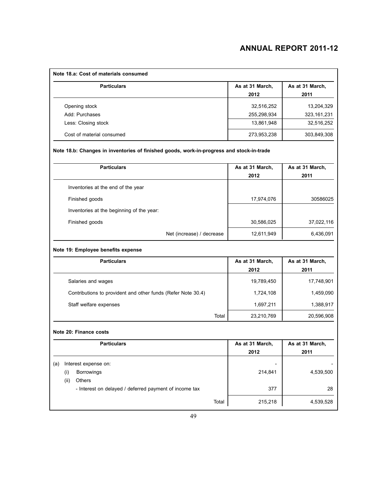| Note 18.a: Cost of materials consumed                                                    |                         |                         |
|------------------------------------------------------------------------------------------|-------------------------|-------------------------|
| <b>Particulars</b>                                                                       | As at 31 March,<br>2012 | As at 31 March,<br>2011 |
| Opening stock                                                                            | 32,516,252              | 13,204,329              |
| Add: Purchases                                                                           | 255,298,934             | 323, 161, 231           |
| Less: Closing stock                                                                      | 13,861,948              | 32,516,252              |
| Cost of material consumed                                                                | 273,953,238             | 303,849,308             |
| Note 18.b: Changes in inventories of finished goods, work-in-progress and stock-in-trade |                         |                         |
| <b>Particulars</b>                                                                       | As at 31 March,         | As at 31 March,         |
|                                                                                          | 2012                    | 2011                    |
| Inventories at the end of the year                                                       |                         |                         |
| Finished goods                                                                           | 17,974,076              | 30586025                |
| Inventories at the beginning of the year:                                                |                         |                         |
| Finished goods                                                                           | 30,586,025              | 37,022,116              |
| Net (increase) / decrease                                                                | 12,611,949              | 6,436,091               |
| Note 19: Employee benefits expense                                                       |                         |                         |
| <b>Particulars</b>                                                                       | As at 31 March,         | As at 31 March,         |
|                                                                                          | 2012                    | 2011                    |
| Salaries and wages                                                                       | 19,789,450              | 17,748,901              |
| Contributions to provident and other funds (Refer Note 30.4)                             | 1,724,108               | 1,459,090               |
| Staff welfare expenses                                                                   | 1,697,211               | 1,388,917               |
| Total                                                                                    | 23,210,769              | 20,596,908              |
| Note 20: Finance costs                                                                   |                         |                         |
| <b>Particulars</b>                                                                       | As at 31 March,<br>2012 | As at 31 March,<br>2011 |
| Interest expense on:<br>(a)                                                              |                         |                         |
| Borrowings<br>(i)                                                                        | 214,841                 | 4,539,500               |
| Others<br>(ii)                                                                           |                         |                         |
| - Interest on delayed / deferred payment of income tax                                   | 377                     | 28                      |
| Total                                                                                    | 215,218                 | 4,539,528               |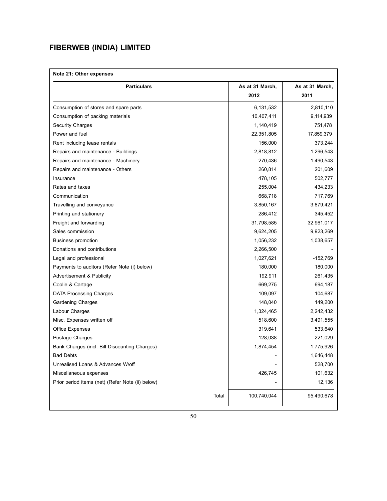## **Note 21: Other expenses**

| <b>Particulars</b>                               |       | As at 31 March,<br>2012 | As at 31 March,<br>2011 |
|--------------------------------------------------|-------|-------------------------|-------------------------|
|                                                  |       |                         |                         |
| Consumption of stores and spare parts            |       | 6,131,532               | 2,810,110               |
| Consumption of packing materials                 |       | 10,407,411              | 9,114,939               |
| <b>Security Charges</b>                          |       | 1,140,419               | 751,478                 |
| Power and fuel                                   |       | 22,351,805              | 17,859,379              |
| Rent including lease rentals                     |       | 156,000                 | 373,244                 |
| Repairs and maintenance - Buildings              |       | 2,818,812               | 1,296,543               |
| Repairs and maintenance - Machinery              |       | 270,436                 | 1,490,543               |
| Repairs and maintenance - Others                 |       | 260,814                 | 201,609                 |
| Insurance                                        |       | 478,105                 | 502,777                 |
| Rates and taxes                                  |       | 255,004                 | 434,233                 |
| Communication                                    |       | 668,718                 | 717,769                 |
| Travelling and conveyance                        |       | 3,850,167               | 3,879,421               |
| Printing and stationery                          |       | 286,412                 | 345,452                 |
| Freight and forwarding                           |       | 31,798,585              | 32,961,017              |
| Sales commission                                 |       | 9,624,205               | 9,923,269               |
| <b>Business promotion</b>                        |       | 1,056,232               | 1,038,657               |
| Donations and contributions                      |       | 2,266,500               |                         |
| Legal and professional                           |       | 1,027,621               | $-152,769$              |
| Payments to auditors (Refer Note (i) below)      |       | 180,000                 | 180,000                 |
| <b>Advertisement &amp; Publicity</b>             |       | 192,911                 | 261,435                 |
| Coolie & Cartage                                 |       | 669,275                 | 694,187                 |
| <b>DATA Processing Charges</b>                   |       | 109,097                 | 104,687                 |
| <b>Gardening Charges</b>                         |       | 148,040                 | 149,200                 |
| Labour Charges                                   |       | 1,324,465               | 2,242,432               |
| Misc. Expenses written off                       |       | 518,600                 | 3,491,555               |
| <b>Office Expenses</b>                           |       | 319,641                 | 533,640                 |
| Postage Charges                                  |       | 128,038                 | 221,029                 |
| Bank Charges (incl. Bill Discounting Charges)    |       | 1,874,454               | 1,775,926               |
| <b>Bad Debts</b>                                 |       |                         | 1,646,448               |
| Unrealised Loans & Advances W/off                |       |                         | 528,700                 |
| Miscellaneous expenses                           |       | 426,745                 | 101,632                 |
| Prior period items (net) (Refer Note (ii) below) |       |                         | 12,136                  |
|                                                  | Total | 100,740,044             | 95,490,678              |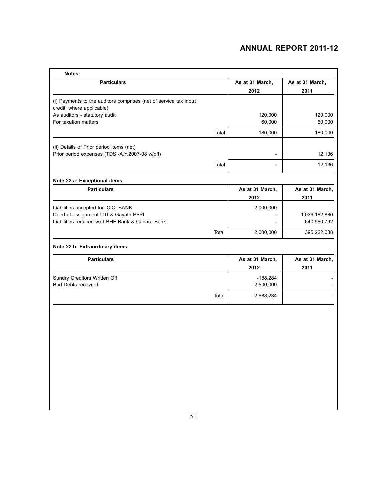| Notes:                                                                                         |       |                            |                               |
|------------------------------------------------------------------------------------------------|-------|----------------------------|-------------------------------|
| <b>Particulars</b>                                                                             |       | As at 31 March,<br>2012    | As at 31 March,<br>2011       |
| (i) Payments to the auditors comprises (net of service tax input<br>credit, where applicable): |       |                            |                               |
| As auditors - statutory audit<br>For taxation matters                                          |       | 120,000<br>60,000          | 120,000<br>60,000             |
|                                                                                                | Total | 180,000                    | 180,000                       |
| (ii) Details of Prior period items (net)<br>Prior period expenses (TDS -A.Y.2007-08 w/off)     |       | $\overline{\phantom{0}}$   | 12,136                        |
|                                                                                                | Total | $\overline{a}$             | 12,136                        |
| Note 22.a: Exceptional items                                                                   |       |                            |                               |
| <b>Particulars</b>                                                                             |       | As at 31 March,<br>2012    | As at 31 March,<br>2011       |
| Liabilities accepted for ICICI BANK                                                            |       | 2,000,000                  |                               |
| Deed of assignment UTI & Gayatri PFPL<br>Liabilities reduced w.r.t BHF Bank & Canara Bank      |       |                            | 1,036,182,880<br>-640,960,792 |
|                                                                                                | Total | 2,000,000                  | 395,222,088                   |
| Note 22.b: Extraordinary items                                                                 |       |                            |                               |
| <b>Particulars</b>                                                                             |       | As at 31 March,<br>2012    | As at 31 March,<br>2011       |
| Sundry Creditors Written Off<br><b>Bad Debts recovred</b>                                      |       | $-188,284$<br>$-2,500,000$ |                               |
|                                                                                                | Total | $-2,688,284$               |                               |
|                                                                                                |       |                            |                               |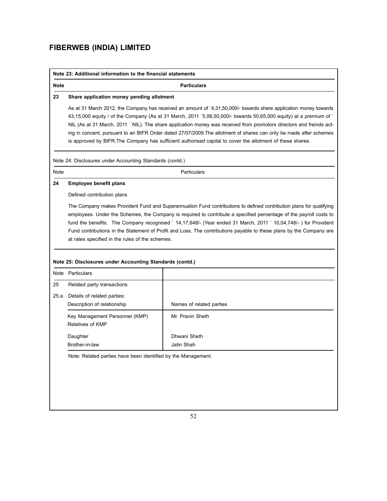ı

|             | Note 23: Additional information to the financial statements                                                                                                                                                                                                                                                                                                                                                                                                                                                                                                                                         |                          |  |  |  |
|-------------|-----------------------------------------------------------------------------------------------------------------------------------------------------------------------------------------------------------------------------------------------------------------------------------------------------------------------------------------------------------------------------------------------------------------------------------------------------------------------------------------------------------------------------------------------------------------------------------------------------|--------------------------|--|--|--|
| <b>Note</b> | <b>Particulars</b>                                                                                                                                                                                                                                                                                                                                                                                                                                                                                                                                                                                  |                          |  |  |  |
| 23          | Share application money pending allotment                                                                                                                                                                                                                                                                                                                                                                                                                                                                                                                                                           |                          |  |  |  |
|             | As at 31 March 2012, the Company has received an amount of '4,31,50,000/- towards share application money towards<br>43,15,000 equity / of the Company (As at 31 March, 2011 `5,06,50,000/- towards 50,65,000 equity) at a premium of `<br>NIL (As at 31 March, 2011 ` NIL). The share application money was received from promotors directors and freinds act-<br>ing in concent, pursuant to an BIFR Order dated 27/07/2009. The allotment of shares can only be made after schemes<br>is approved by BIFR. The Company has sufficient authorised capital to cover the allotment of these shares. |                          |  |  |  |
|             | Note 24: Disclosures under Accounting Standards (contd.)                                                                                                                                                                                                                                                                                                                                                                                                                                                                                                                                            |                          |  |  |  |
| Note        |                                                                                                                                                                                                                                                                                                                                                                                                                                                                                                                                                                                                     | Particulars              |  |  |  |
| 24          | <b>Employee benefit plans</b>                                                                                                                                                                                                                                                                                                                                                                                                                                                                                                                                                                       |                          |  |  |  |
|             | Defined contribution plans                                                                                                                                                                                                                                                                                                                                                                                                                                                                                                                                                                          |                          |  |  |  |
|             | The Company makes Provident Fund and Superannuation Fund contributions to defined contribution plans for qualifying<br>employees. Under the Schemes, the Company is required to contribute a specified percentage of the payroll costs to<br>fund the benefits. The Company recognised ` 14,17,648/- (Year ended 31 March, 2011 ` 10,04,748/- ) for Provident<br>Fund contributions in the Statement of Profit and Loss. The contributions payable to these plans by the Company are<br>at rates specified in the rules of the schemes.                                                             |                          |  |  |  |
|             | Note 25: Disclosures under Accounting Standards (contd.)                                                                                                                                                                                                                                                                                                                                                                                                                                                                                                                                            |                          |  |  |  |
|             | Note Particulars                                                                                                                                                                                                                                                                                                                                                                                                                                                                                                                                                                                    |                          |  |  |  |
| 25          | Related party transactions                                                                                                                                                                                                                                                                                                                                                                                                                                                                                                                                                                          |                          |  |  |  |
| 25.a        | Details of related parties:<br>Description of relationship                                                                                                                                                                                                                                                                                                                                                                                                                                                                                                                                          | Names of related parties |  |  |  |
|             | Key Management Personnel (KMP)<br>Relatives of KMP                                                                                                                                                                                                                                                                                                                                                                                                                                                                                                                                                  | Mr. Pravin Sheth         |  |  |  |
|             | Daughter                                                                                                                                                                                                                                                                                                                                                                                                                                                                                                                                                                                            | Dhwani Sheth             |  |  |  |
|             | Brother-in-law                                                                                                                                                                                                                                                                                                                                                                                                                                                                                                                                                                                      | Jatin Shah               |  |  |  |
|             | Note: Related parties have been identified by the Management.                                                                                                                                                                                                                                                                                                                                                                                                                                                                                                                                       |                          |  |  |  |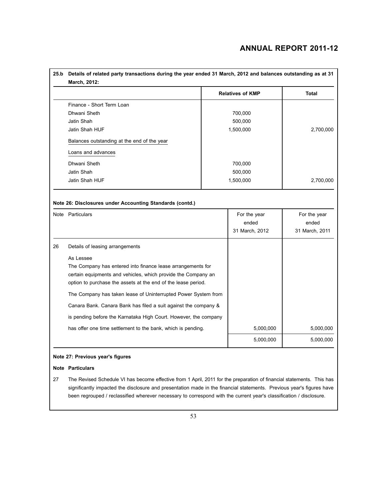|    |                                                                                                                       |  | <b>Relatives of KMP</b> | Total     |
|----|-----------------------------------------------------------------------------------------------------------------------|--|-------------------------|-----------|
|    | Finance - Short Term Loan                                                                                             |  |                         |           |
|    | Dhwani Sheth                                                                                                          |  | 700,000                 |           |
|    | Jatin Shah                                                                                                            |  | 500,000                 |           |
|    | Jatin Shah HUF                                                                                                        |  | 1,500,000               | 2,700,000 |
|    | Balances outstanding at the end of the year                                                                           |  |                         |           |
|    | Loans and advances                                                                                                    |  |                         |           |
|    | Dhwani Sheth                                                                                                          |  | 700,000                 |           |
|    | Jatin Shah                                                                                                            |  | 500,000                 |           |
|    | Jatin Shah HUF                                                                                                        |  | 1,500,000               | 2,700,000 |
| 26 | Details of leasing arrangements                                                                                       |  |                         |           |
|    |                                                                                                                       |  |                         |           |
|    | As Lessee                                                                                                             |  |                         |           |
|    | The Company has entered into finance lease arrangements for                                                           |  |                         |           |
|    | certain equipments and vehicles, which provide the Company an                                                         |  |                         |           |
|    | option to purchase the assets at the end of the lease period.                                                         |  |                         |           |
|    | The Company has taken lease of Uninterrupted Power System from                                                        |  |                         |           |
|    | Canara Bank. Canara Bank has filed a suit against the company &                                                       |  |                         |           |
|    | is pending before the Karnataka High Court. However, the company                                                      |  |                         |           |
|    | has offer one time settlement to the bank, which is pending.                                                          |  | 5,000,000               | 5,000,000 |
|    |                                                                                                                       |  | 5,000,000               | 5,000,000 |
|    | Note 27: Previous year's figures                                                                                      |  |                         |           |
|    |                                                                                                                       |  |                         |           |
|    | <b>Note Particulars</b>                                                                                               |  |                         |           |
| 27 | The Revised Schedule VI has become effective from 1 April, 2011 for the preparation of financial statements. This has |  |                         |           |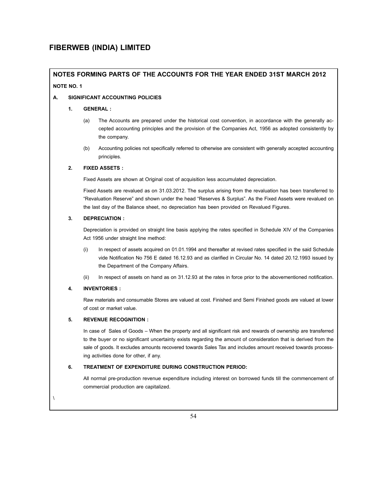## **NOTES FORMING PARTS OF THE ACCOUNTS FOR THE YEAR ENDED 31ST MARCH 2012 NOTE NO. 1**

#### **A. SIGNIFICANT ACCOUNTING POLICIES**

#### **1. GENERAL :**

- (a) The Accounts are prepared under the historical cost convention, in accordance with the generally accepted accounting principles and the provision of the Companies Act, 1956 as adopted consistently by the company.
- (b) Accounting policies not specifically referred to otherwise are consistent with generally accepted accounting principles.

#### **2. FIXED ASSETS :**

Fixed Assets are shown at Original cost of acquisition less accumulated depreciation.

 Fixed Assets are revalued as on 31.03.2012. The surplus arising from the revaluation has been transferred to "Revaluation Reserve" and shown under the head "Reserves & Surplus". As the Fixed Assets were revalued on the last day of the Balance sheet, no depreciation has been provided on Revalued Figures.

#### **3. DEPRECIATION :**

Depreciation is provided on straight line basis applying the rates specified in Schedule XIV of the Companies Act 1956 under straight line method:

- (i) In respect of assets acquired on 01.01.1994 and thereafter at revised rates specified in the said Schedule vide Notification No 756 E dated 16.12.93 and as clarified in Circular No. 14 dated 20.12.1993 issued by the Department of the Company Affairs.
- (ii) In respect of assets on hand as on 31.12.93 at the rates in force prior to the abovementioned notification.

#### **4. INVENTORIES :**

Raw materials and consumable Stores are valued at cost. Finished and Semi Finished goods are valued at lower of cost or market value.

#### **5. REVENUE RECOGNITION :**

In case of Sales of Goods – When the property and all significant risk and rewards of ownership are transferred to the buyer or no significant uncertainty exists regarding the amount of consideration that is derived from the sale of goods. It excludes amounts recovered towards Sales Tax and includes amount received towards processing activities done for other, if any.

#### **6. TREATMENT OF EXPENDITURE DURING CONSTRUCTION PERIOD:**

All normal pre-production revenue expenditure including interest on borrowed funds till the commencement of commercial production are capitalized.

\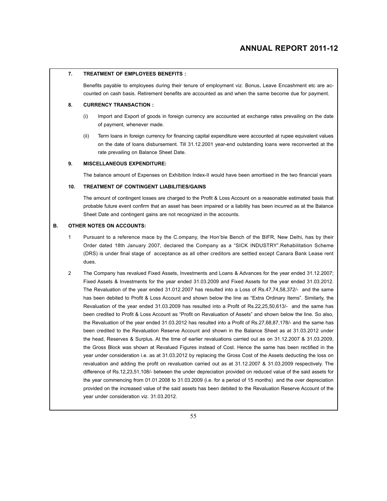#### **7. TREATMENT OF EMPLOYEES BENEFITS :**

Benefits payable to employees during their tenure of employment viz. Bonus, Leave Encashment etc are accounted on cash basis. Retirement benefits are accounted as and when the same become due for payment.

#### **8. CURRENCY TRANSACTION :**

- (i) Import and Export of goods in foreign currency are accounted at exchange rates prevailing on the date of payment, whenever made.
- (ii) Term loans in foreign currency for financing capital expenditure were accounted at rupee equivalent values on the date of loans disbursement. Till 31.12.2001 year-end outstanding loans were reconverted at the rate prevailing on Balance Sheet Date.

#### **9. MISCELLANEOUS EXPENDITURE:**

The balance amount of Expenses on Exhibition Index-II would have been amortised in the two financial years

#### **10. TREATMENT OF CONTINGENT LIABILITIES/GAINS**

The amount of contingent losses are charged to the Profit & Loss Account on a reasonable estimated basis that probable future event confirm that an asset has been impaired or a liability has been incurred as at the Balance Sheet Date and contingent gains are not recognized in the accounts.

#### **B. OTHER NOTES ON ACCOUNTS:**

- Pursuant to a reference mace by the C.ompany, the Hon'ble Bench of the BIFR, New Delhi, has by their Order dated 18th January 2007, declared the Company as a "SICK INDUSTRY".Rehabilitation Scheme (DRS) is under final stage of acceptance as all other creditors are settled except Canara Bank Lease rent dues.
- 2 The Company has revalued Fixed Assets, Investments and Loans & Advances for the year ended 31.12.2007; Fixed Assets & Investments for the year ended 31.03.2009 and Fixed Assets for the year ended 31.03.2012. The Revaluation of the year ended 31.012.2007 has resulted into a Loss of Rs.47,74,58,372/- and the same has been debited to Profit & Loss Account and shown below the line as "Extra Ordinary Items". Similarly, the Revaluation of the year ended 31.03.2009 has resulted into a Profit of Rs.22,25,50,613/- and the same has been credited to Profit & Loss Account as "Profit on Revaluation of Assets" and shown below the line. So also, the Revaluation of the year ended 31.03.2012 has resulted into a Profit of Rs.27,68,87,178/- and the same has been credited to the Revaluation Reserve Account and shown in the Balance Sheet as at 31.03.2012 under the head, Reserves & Surplus. At the time of earlier revaluations carried out as on 31.12.2007 & 31.03.2009, the Gross Block was shown at Revalued Figures instead of Cost. Hence the same has been rectified in the year under consideration i.e. as at 31.03.2012 by replacing the Gross Cost of the Assets deducting the loss on revaluation and adding the profit on revaluation carried out as at 31.12.2007 & 31.03.2009 respectively. The difference of Rs.12,23,51,108/- between the under depreciation provided on reduced value of the said assets for the year commencing from 01.01.2008 to 31.03.2009 (i.e. for a period of 15 months) and the over depreciation provided on the increased value of the said assets has been debited to the Revaluation Reserve Account of the year under consideration viz. 31.03.2012.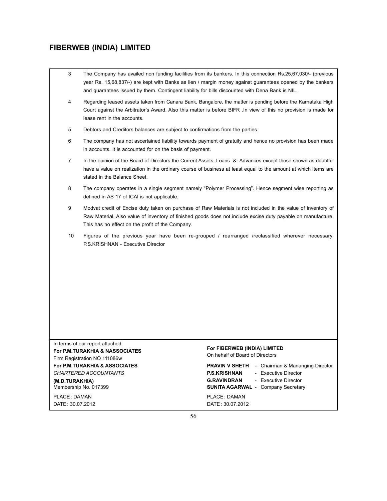- 3 The Company has availed non funding facilities from its bankers. In this connection Rs.25,67,030/- (previous year Rs. 15,68,837/-) are kept with Banks as lien / margin money against guarantees opened by the bankers and guarantees issued by them. Contingent liability for bills discounted with Dena Bank is NIL.
- 4 Regarding leased assets taken from Canara Bank, Bangalore, the matter is pending before the Karnataka High Court against the Arbitrator's Award. Also this matter is before BIFR .In view of this no provision is made for lease rent in the accounts.
- 5 Debtors and Creditors balances are subject to confirmations from the parties
- 6 The company has not ascertained liability towards payment of gratuity and hence no provision has been made in accounts. It is accounted for on the basis of payment.
- 7 In the opinion of the Board of Directors the Current Assets, Loans & Advances except those shown as doubtful have a value on realization in the ordinary course of business at least equal to the amount at which items are stated in the Balance Sheet.
- 8 The company operates in a single segment namely "Polymer Processing". Hence segment wise reporting as defined in AS 17 of ICAI is not applicable.
- 9 Modvat credit of Excise duty taken on purchase of Raw Materials is not included in the value of inventory of Raw Material. Also value of inventory of finished goods does not include excise duty payable on manufacture. This has no effect on the profit of the Company.
- 10 Figures of the previous year have been re-grouped / rearranged /reclassified wherever necessary. P.S.KRISHNAN - Executive Director

In terms of our report attached. **For P.M.TURAKHIA & NASSOCIATES**<br> **For P.M.TURAKHIA & NASSOCIATES**<br>
For P.M.TURAKHIA & NASSOCIATES<br>
Firm Pogistration NO. 111086w Firm Registration NO 111086w

DATE: 30.07.2012 DATE: 30.07.2012

**For P.M.TURAKHIA & ASSOCIATES PRAVIN V SHETH** - Chairman & Mananging Director *CHARTERED ACCOUNTANTS* **P.S.KRISHNAN** - Executive Director **(M.D.TURAKHIA) G.RAVINDRAN** - Executive Director Membership No. 017399 **SUNITA AGARWAL** - Company Secretary

PLACE: DAMAN PLACE: DAMAN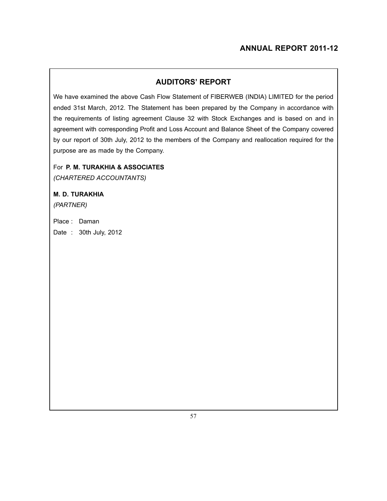## **AUDITORS' REPORT**

We have examined the above Cash Flow Statement of FIBERWEB (INDIA) LIMITED for the period ended 31st March, 2012. The Statement has been prepared by the Company in accordance with the requirements of listing agreement Clause 32 with Stock Exchanges and is based on and in agreement with corresponding Profit and Loss Account and Balance Sheet of the Company covered by our report of 30th July, 2012 to the members of the Company and reallocation required for the purpose are as made by the Company.

## For **P. M. TURAKHIA & ASSOCIATES**

*(Chartered Accountants)*

## **M. D. TURAKHIA**

*(PARTNER)*

Place : Daman Date : 30th July, 2012